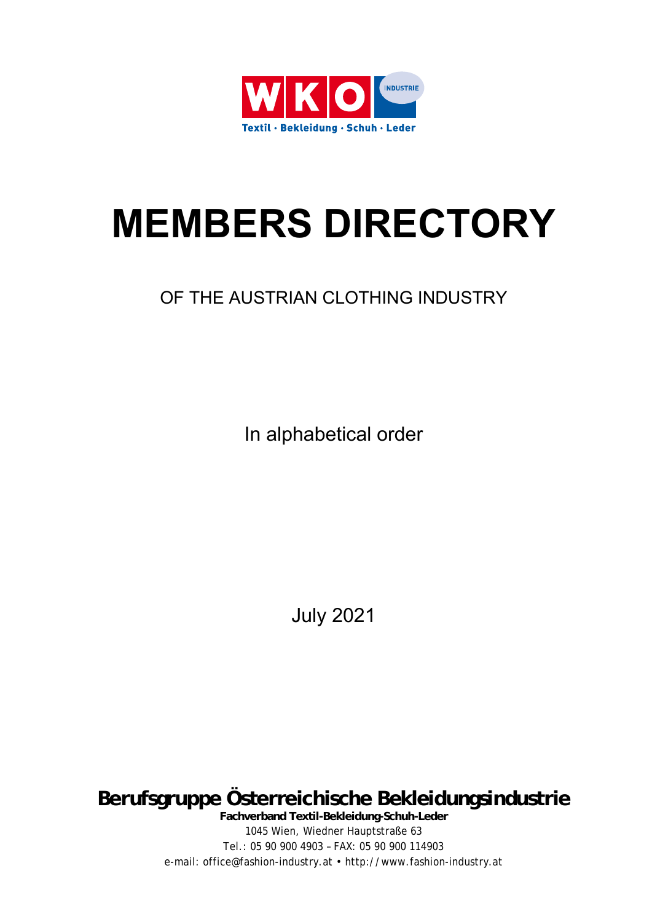

# **MEMBERS DIRECTORY**

# OF THE AUSTRIAN CLOTHING INDUSTRY

In alphabetical order

July 2021

**Berufsgruppe Österreichische Bekleidungsindustrie** 

**Fachverband Textil-Bekleidung-Schuh-Leder**  1045 Wien, Wiedner Hauptstraße 63 Tel.: 05 90 900 4903 – FAX: 05 90 900 114903 e-mail: office@fashion-industry.at • http://www.fashion-industry.at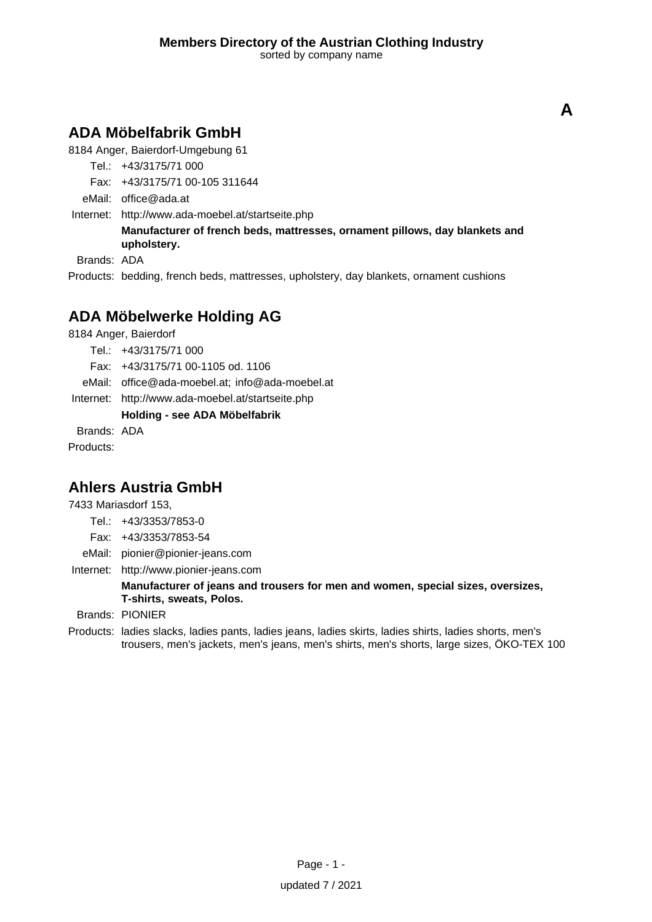# **ADA Möbelfabrik GmbH**

8184 Anger, Baierdorf-Umgebung 61

Tel.: +43/3175/71 000

Fax: +43/3175/71 00-105 311644

eMail: office@ada.at

Internet: <http://www.ada-moebel.at/startseite.php>

**Manufacturer of french beds, mattresses, ornament pillows, day blankets and upholstery.**

Brands: ADA

Products: bedding, french beds, mattresses, upholstery, day blankets, ornament cushions

# **ADA Möbelwerke Holding AG**

8184 Anger, Baierdorf

- Tel.: +43/3175/71 000
- Fax: +43/3175/71 00-1105 od. 1106
- eMail: office@ada-moebel.at; info@ada-moebel.at

Internet: <http://www.ada-moebel.at/startseite.php>

### **Holding - see ADA Möbelfabrik**

Brands: ADA

Products:

# **Ahlers Austria GmbH**

7433 Mariasdorf 153,

- Tel.: +43/3353/7853-0
- Fax: +43/3353/7853-54
- eMail: pionier@pionier-jeans.com
- Internet: <http://www.pionier-jeans.com>

### **Manufacturer of jeans and trousers for men and women, special sizes, oversizes, T-shirts, sweats, Polos.**

Brands: PIONIER

Products: ladies slacks, ladies pants, ladies jeans, ladies skirts, ladies shirts, ladies shorts, men's trousers, men's jackets, men's jeans, men's shirts, men's shorts, large sizes, ÖKO-TEX 100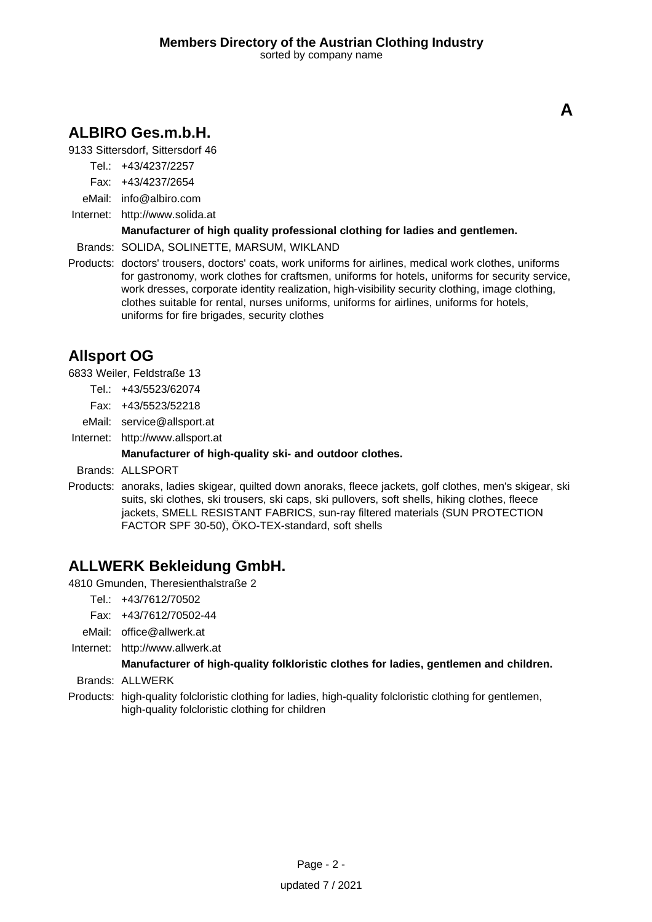# **ALBIRO Ges.m.b.H.**

9133 Sittersdorf, Sittersdorf 46

- Tel.: +43/4237/2257
- Fax: +43/4237/2654
- eMail: info@albiro.com
- Internet: <http://www.solida.at>

### **Manufacturer of high quality professional clothing for ladies and gentlemen.**

Brands: SOLIDA, SOLINETTE, MARSUM, WIKLAND

Products: doctors' trousers, doctors' coats, work uniforms for airlines, medical work clothes, uniforms for gastronomy, work clothes for craftsmen, uniforms for hotels, uniforms for security service, work dresses, corporate identity realization, high-visibility security clothing, image clothing, clothes suitable for rental, nurses uniforms, uniforms for airlines, uniforms for hotels, uniforms for fire brigades, security clothes

# **Allsport OG**

6833 Weiler, Feldstraße 13

- Tel.: +43/5523/62074
- Fax: +43/5523/52218
- eMail: service@allsport.at
- Internet: <http://www.allsport.at>

### **Manufacturer of high-quality ski- and outdoor clothes.**

Brands: ALLSPORT

Products: anoraks, ladies skigear, quilted down anoraks, fleece jackets, golf clothes, men's skigear, ski suits, ski clothes, ski trousers, ski caps, ski pullovers, soft shells, hiking clothes, fleece jackets, SMELL RESISTANT FABRICS, sun-ray filtered materials (SUN PROTECTION FACTOR SPF 30-50), ÖKO-TEX-standard, soft shells

# **ALLWERK Bekleidung GmbH.**

4810 Gmunden, Theresienthalstraße 2

- Tel.: +43/7612/70502
- Fax: +43/7612/70502-44
- eMail: office@allwerk.at
- Internet: <http://www.allwerk.at>

### **Manufacturer of high-quality folkloristic clothes for ladies, gentlemen and children.**

- Brands: ALLWERK
- Products: high-quality folcloristic clothing for ladies, high-quality folcloristic clothing for gentlemen, high-quality folcloristic clothing for children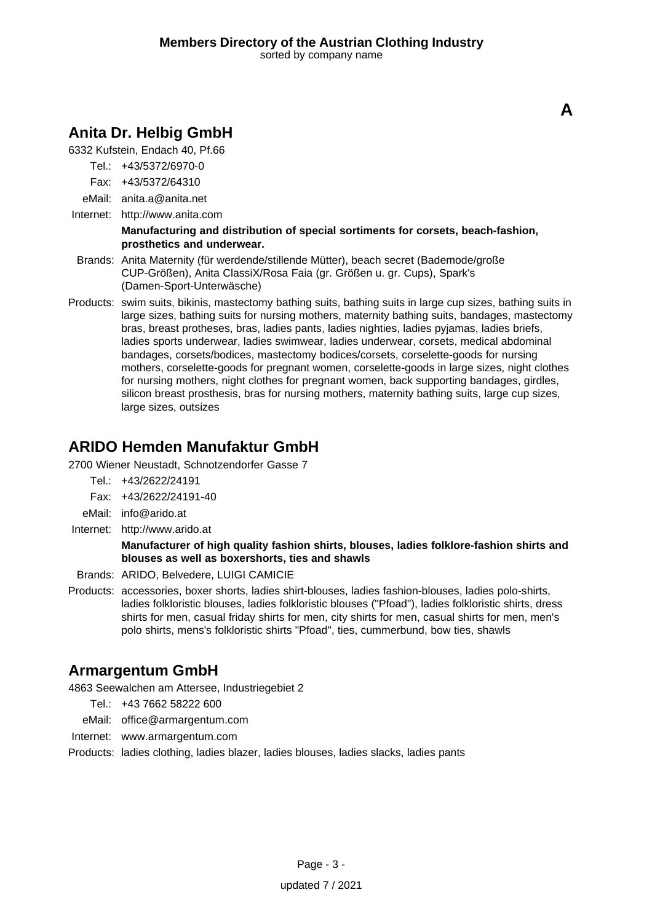**A**

# **Anita Dr. Helbig GmbH**

6332 Kufstein, Endach 40, Pf.66

- Tel.: +43/5372/6970-0
- Fax: +43/5372/64310
- eMail: anita.a@anita.net
- Internet: <http://www.anita.com>

#### **Manufacturing and distribution of special sortiments for corsets, beach-fashion, prosthetics and underwear.**

- Brands: Anita Maternity (für werdende/stillende Mütter), beach secret (Bademode/große CUP-Größen), Anita ClassiX/Rosa Faia (gr. Größen u. gr. Cups), Spark's (Damen-Sport-Unterwäsche)
- Products: swim suits, bikinis, mastectomy bathing suits, bathing suits in large cup sizes, bathing suits in large sizes, bathing suits for nursing mothers, maternity bathing suits, bandages, mastectomy bras, breast protheses, bras, ladies pants, ladies nighties, ladies pyjamas, ladies briefs, ladies sports underwear, ladies swimwear, ladies underwear, corsets, medical abdominal bandages, corsets/bodices, mastectomy bodices/corsets, corselette-goods for nursing mothers, corselette-goods for pregnant women, corselette-goods in large sizes, night clothes for nursing mothers, night clothes for pregnant women, back supporting bandages, girdles, silicon breast prosthesis, bras for nursing mothers, maternity bathing suits, large cup sizes, large sizes, outsizes

### **ARIDO Hemden Manufaktur GmbH**

2700 Wiener Neustadt, Schnotzendorfer Gasse 7

- Tel.: +43/2622/24191
- Fax: +43/2622/24191-40
- eMail: info@arido.at
- Internet: <http://www.arido.at>

### **Manufacturer of high quality fashion shirts, blouses, ladies folklore-fashion shirts and blouses as well as boxershorts, ties and shawls**

- Brands: ARIDO, Belvedere, LUIGI CAMICIE
- Products: accessories, boxer shorts, ladies shirt-blouses, ladies fashion-blouses, ladies polo-shirts, ladies folkloristic blouses, ladies folkloristic blouses ("Pfoad"), ladies folkloristic shirts, dress shirts for men, casual friday shirts for men, city shirts for men, casual shirts for men, men's polo shirts, mens's folkloristic shirts "Pfoad", ties, cummerbund, bow ties, shawls

### **Armargentum GmbH**

4863 Seewalchen am Attersee, Industriegebiet 2

- Tel.: +43 7662 58222 600
- eMail: office@armargentum.com
- Internet: www.armargentum.com

Products: ladies clothing, ladies blazer, ladies blouses, ladies slacks, ladies pants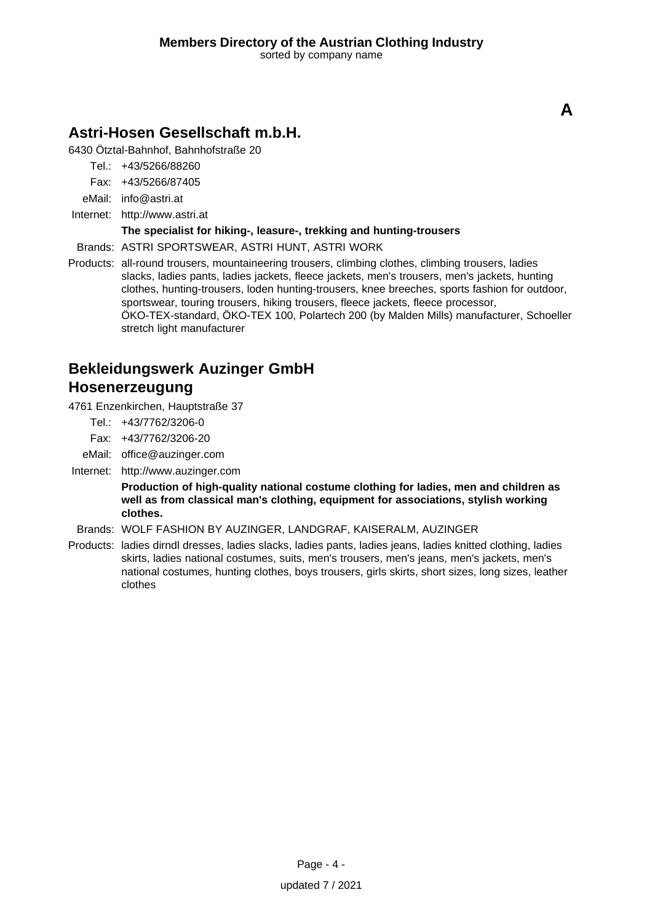# **Astri-Hosen Gesellschaft m.b.H.**

6430 Ötztal-Bahnhof, Bahnhofstraße 20

Tel.: +43/5266/88260

Fax: +43/5266/87405

eMail: info@astri.at

Internet: <http://www.astri.at>

### **The specialist for hiking-, leasure-, trekking and hunting-trousers**

Brands: ASTRI SPORTSWEAR, ASTRI HUNT, ASTRI WORK

Products: all-round trousers, mountaineering trousers, climbing clothes, climbing trousers, ladies slacks, ladies pants, ladies jackets, fleece jackets, men's trousers, men's jackets, hunting clothes, hunting-trousers, loden hunting-trousers, knee breeches, sports fashion for outdoor, sportswear, touring trousers, hiking trousers, fleece jackets, fleece processor, ÖKO-TEX-standard, ÖKO-TEX 100, Polartech 200 (by Malden Mills) manufacturer, Schoeller stretch light manufacturer

# **Bekleidungswerk Auzinger GmbH Hosenerzeugung**

4761 Enzenkirchen, Hauptstraße 37

- Tel.: +43/7762/3206-0
- Fax: +43/7762/3206-20
- eMail: office@auzinger.com
- Internet: <http://www.auzinger.com>

**Production of high-quality national costume clothing for ladies, men and children as well as from classical man's clothing, equipment for associations, stylish working clothes.**

Brands: WOLF FASHION BY AUZINGER, LANDGRAF, KAISERALM, AUZINGER

Products: ladies dirndl dresses, ladies slacks, ladies pants, ladies jeans, ladies knitted clothing, ladies skirts, ladies national costumes, suits, men's trousers, men's jeans, men's jackets, men's national costumes, hunting clothes, boys trousers, girls skirts, short sizes, long sizes, leather clothes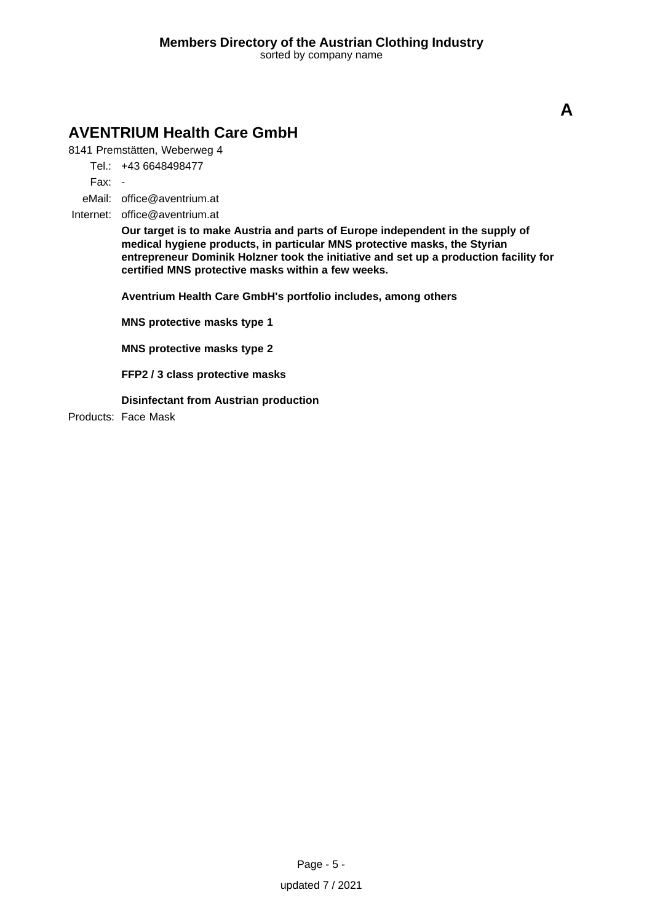# **AVENTRIUM Health Care GmbH**

8141 Premstätten, Weberweg 4

Tel.: +43 6648498477

Fax: -

eMail: office@aventrium.at

Internet: office@aventrium.at

**Our target is to make Austria and parts of Europe independent in the supply of medical hygiene products, in particular MNS protective masks, the Styrian entrepreneur Dominik Holzner took the initiative and set up a production facility for certified MNS protective masks within a few weeks.**

**Aventrium Health Care GmbH's portfolio includes, among others**

**MNS protective masks type 1**

**MNS protective masks type 2**

**FFP2 / 3 class protective masks**

**Disinfectant from Austrian production**

Products: Face Mask

**A**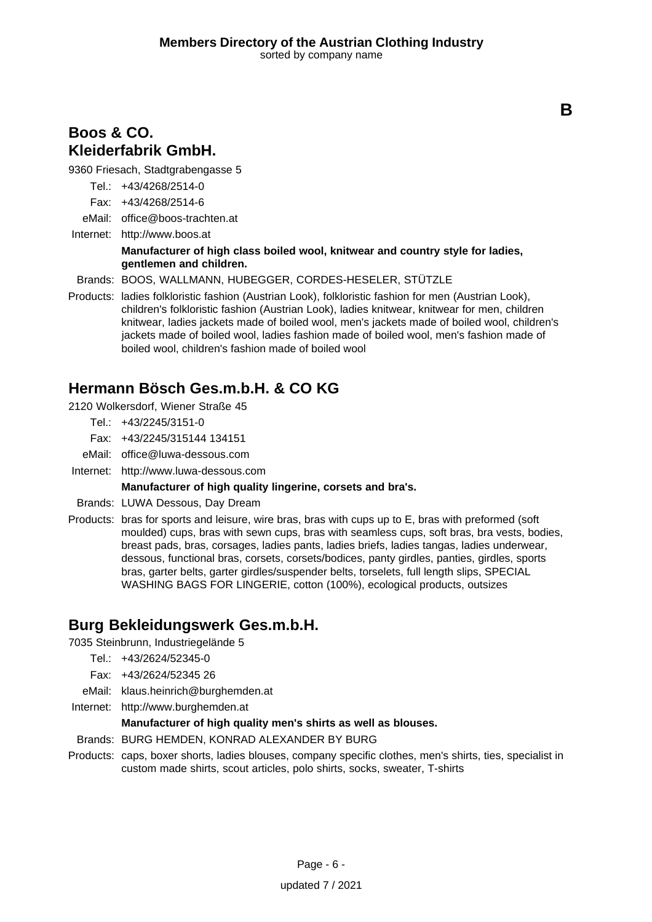**B**

### **Boos & CO. Kleiderfabrik GmbH.**

9360 Friesach, Stadtgrabengasse 5

- Tel.: +43/4268/2514-0
- Fax: +43/4268/2514-6
- eMail: office@boos-trachten.at

Internet: <http://www.boos.at>

### **Manufacturer of high class boiled wool, knitwear and country style for ladies, gentlemen and children.**

Brands: BOOS, WALLMANN, HUBEGGER, CORDES-HESELER, STÜTZLE

Products: ladies folkloristic fashion (Austrian Look), folkloristic fashion for men (Austrian Look), children's folkloristic fashion (Austrian Look), ladies knitwear, knitwear for men, children knitwear, ladies jackets made of boiled wool, men's jackets made of boiled wool, children's jackets made of boiled wool, ladies fashion made of boiled wool, men's fashion made of boiled wool, children's fashion made of boiled wool

### **Hermann Bösch Ges.m.b.H. & CO KG**

2120 Wolkersdorf, Wiener Straße 45

- Tel.: +43/2245/3151-0
- Fax: +43/2245/315144 134151
- eMail: office@luwa-dessous.com
- Internet: <http://www.luwa-dessous.com>

### **Manufacturer of high quality lingerine, corsets and bra's.**

- Brands: LUWA Dessous, Day Dream
- Products: bras for sports and leisure, wire bras, bras with cups up to E, bras with preformed (soft moulded) cups, bras with sewn cups, bras with seamless cups, soft bras, bra vests, bodies, breast pads, bras, corsages, ladies pants, ladies briefs, ladies tangas, ladies underwear, dessous, functional bras, corsets, corsets/bodices, panty girdles, panties, girdles, sports bras, garter belts, garter girdles/suspender belts, torselets, full length slips, SPECIAL WASHING BAGS FOR LINGERIE, cotton (100%), ecological products, outsizes

### **Burg Bekleidungswerk Ges.m.b.H.**

7035 Steinbrunn, Industriegelände 5

- $Tel + 43/2624/52345-0$
- Fax: +43/2624/52345 26
- eMail: klaus.heinrich@burghemden.at
- Internet: <http://www.burghemden.at>

### **Manufacturer of high quality men's shirts as well as blouses.**

- Brands: BURG HEMDEN, KONRAD ALEXANDER BY BURG
- Products: caps, boxer shorts, ladies blouses, company specific clothes, men's shirts, ties, specialist in custom made shirts, scout articles, polo shirts, socks, sweater, T-shirts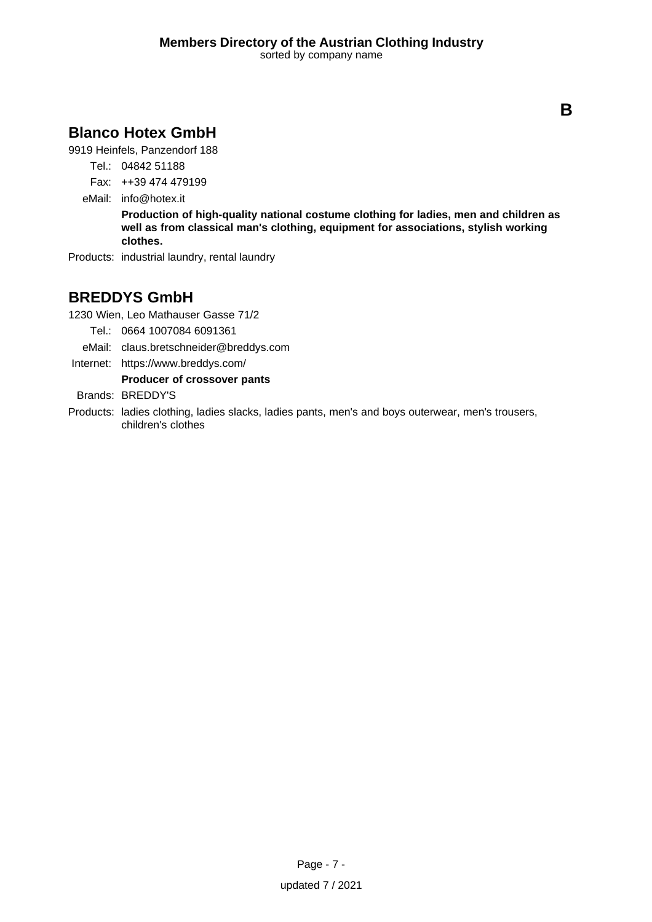# **Blanco Hotex GmbH**

9919 Heinfels, Panzendorf 188

- Tel.: 04842 51188
- Fax: ++39 474 479199
- eMail: info@hotex.it

**Production of high-quality national costume clothing for ladies, men and children as well as from classical man's clothing, equipment for associations, stylish working clothes.**

Products: industrial laundry, rental laundry

# **BREDDYS GmbH**

1230 Wien, Leo Mathauser Gasse 71/2

- Tel.: 0664 1007084 6091361
- eMail: claus.bretschneider@breddys.com
- Internet: https://www.breddys.com/

### **Producer of crossover pants**

Brands: BREDDY'S

Products: ladies clothing, ladies slacks, ladies pants, men's and boys outerwear, men's trousers, children's clothes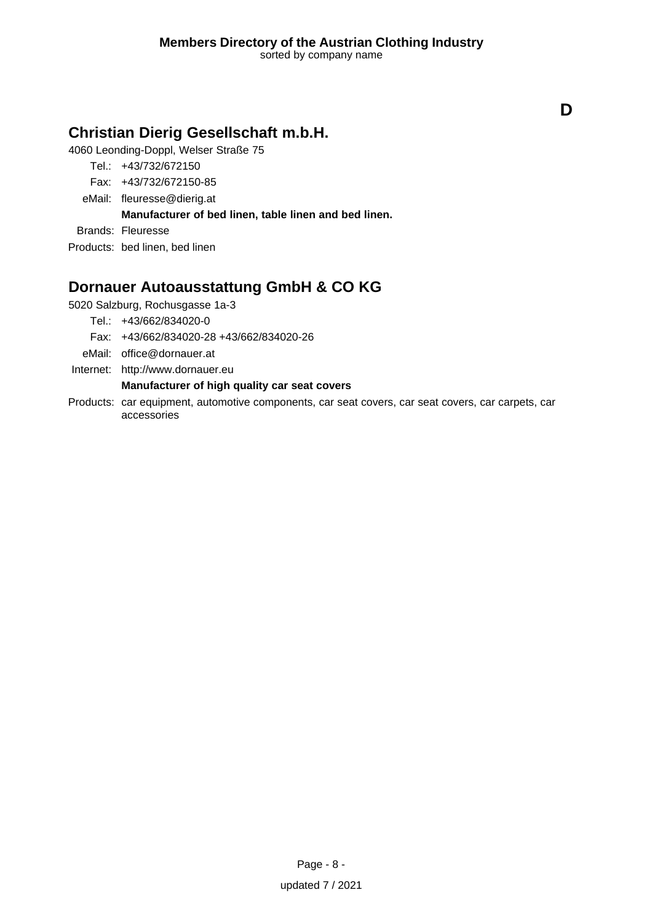# **Christian Dierig Gesellschaft m.b.H.**

4060 Leonding-Doppl, Welser Straße 75

- Tel.: +43/732/672150
- Fax: +43/732/672150-85
- eMail: fleuresse@dierig.at

### **Manufacturer of bed linen, table linen and bed linen.**

Brands: Fleuresse

Products: bed linen, bed linen

# **Dornauer Autoausstattung GmbH & CO KG**

5020 Salzburg, Rochusgasse 1a-3

Tel.: +43/662/834020-0

Fax: +43/662/834020-28 +43/662/834020-26

eMail: office@dornauer.at

Internet: <http://www.dornauer.eu>

### **Manufacturer of high quality car seat covers**

Products: car equipment, automotive components, car seat covers, car seat covers, car carpets, car accessories

**D**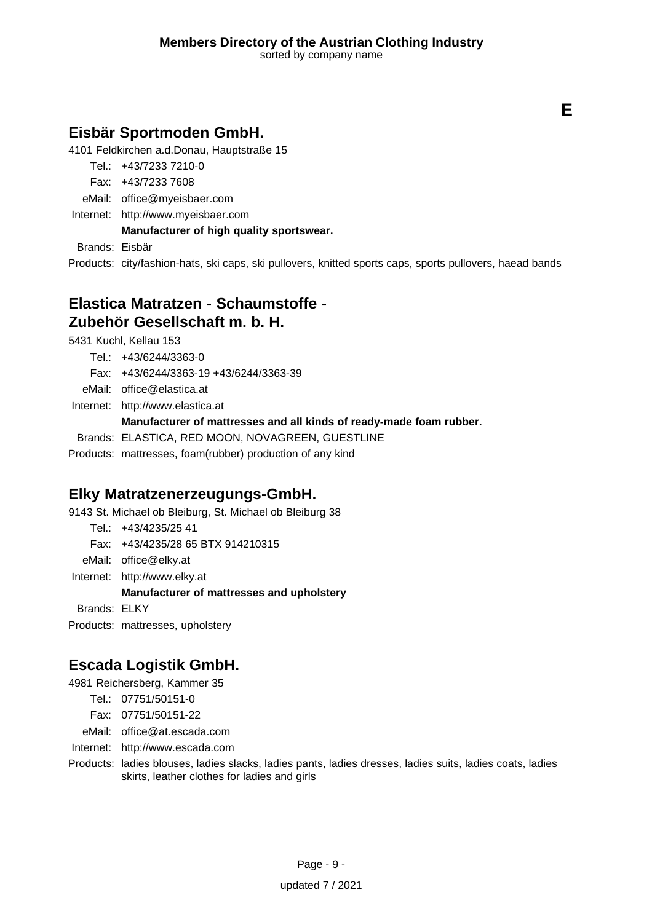**E**

# **Eisbär Sportmoden GmbH.**

4101 Feldkirchen a.d.Donau, Hauptstraße 15

- Tel.: +43/7233 7210-0
- Fax: +43/7233 7608
- eMail: office@myeisbaer.com
- Internet: <http://www.myeisbaer.com>

**Manufacturer of high quality sportswear.**

Brands: Eisbär

Products: city/fashion-hats, ski caps, ski pullovers, knitted sports caps, sports pullovers, haead bands

### **Elastica Matratzen - Schaumstoffe - Zubehör Gesellschaft m. b. H.**

5431 Kuchl, Kellau 153

- Tel.: +43/6244/3363-0 Fax: +43/6244/3363-19 +43/6244/3363-39
- eMail: office@elastica.at

Internet: <http://www.elastica.at> **Manufacturer of mattresses and all kinds of ready-made foam rubber.** Brands: ELASTICA, RED MOON, NOVAGREEN, GUESTLINE

Products: mattresses, foam(rubber) production of any kind

# **Elky Matratzenerzeugungs-GmbH.**

9143 St. Michael ob Bleiburg, St. Michael ob Bleiburg 38

Tel.: +43/4235/25 41

Fax: +43/4235/28 65 BTX 914210315

eMail: office@elky.at

Internet: <http://www.elky.at>

### **Manufacturer of mattresses and upholstery**

Brands: ELKY

Products: mattresses, upholstery

# **Escada Logistik GmbH.**

4981 Reichersberg, Kammer 35

- Tel.: 07751/50151-0
- Fax: 07751/50151-22

eMail: office@at.escada.com

Internet: <http://www.escada.com>

Products: ladies blouses, ladies slacks, ladies pants, ladies dresses, ladies suits, ladies coats, ladies skirts, leather clothes for ladies and girls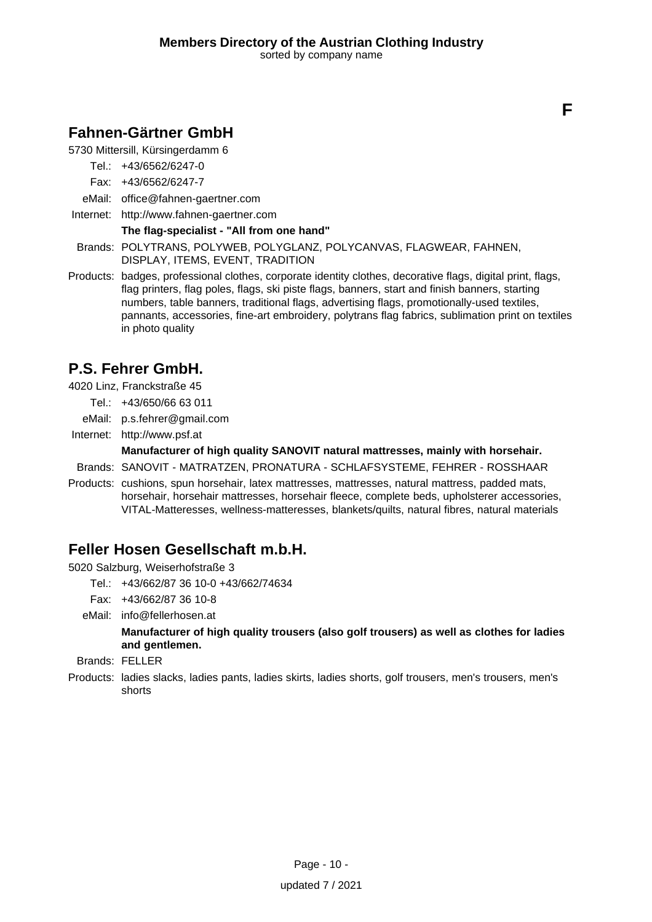**F**

# **Fahnen-Gärtner GmbH**

5730 Mittersill, Kürsingerdamm 6

- Tel.: +43/6562/6247-0
- Fax: +43/6562/6247-7
- eMail: office@fahnen-gaertner.com
- Internet: <http://www.fahnen-gaertner.com>

### **The flag-specialist - "All from one hand"**

- Brands: POLYTRANS, POLYWEB, POLYGLANZ, POLYCANVAS, FLAGWEAR, FAHNEN, DISPLAY, ITEMS, EVENT, TRADITION
- Products: badges, professional clothes, corporate identity clothes, decorative flags, digital print, flags, flag printers, flag poles, flags, ski piste flags, banners, start and finish banners, starting numbers, table banners, traditional flags, advertising flags, promotionally-used textiles, pannants, accessories, fine-art embroidery, polytrans flag fabrics, sublimation print on textiles in photo quality

# **P.S. Fehrer GmbH.**

4020 Linz, Franckstraße 45

- Tel.: +43/650/66 63 011
- eMail: p.s.fehrer@gmail.com
- Internet: <http://www.psf.at>

### **Manufacturer of high quality SANOVIT natural mattresses, mainly with horsehair.**

Brands: SANOVIT - MATRATZEN, PRONATURA - SCHLAFSYSTEME, FEHRER - ROSSHAAR

Products: cushions, spun horsehair, latex mattresses, mattresses, natural mattress, padded mats, horsehair, horsehair mattresses, horsehair fleece, complete beds, upholsterer accessories, VITAL-Matteresses, wellness-matteresses, blankets/quilts, natural fibres, natural materials

# **Feller Hosen Gesellschaft m.b.H.**

5020 Salzburg, Weiserhofstraße 3

- Tel.: +43/662/87 36 10-0 +43/662/74634
- Fax: +43/662/87 36 10-8

eMail: info@fellerhosen.at

**Manufacturer of high quality trousers (also golf trousers) as well as clothes for ladies and gentlemen.**

- Brands: FELLER
- Products: ladies slacks, ladies pants, ladies skirts, ladies shorts, golf trousers, men's trousers, men's shorts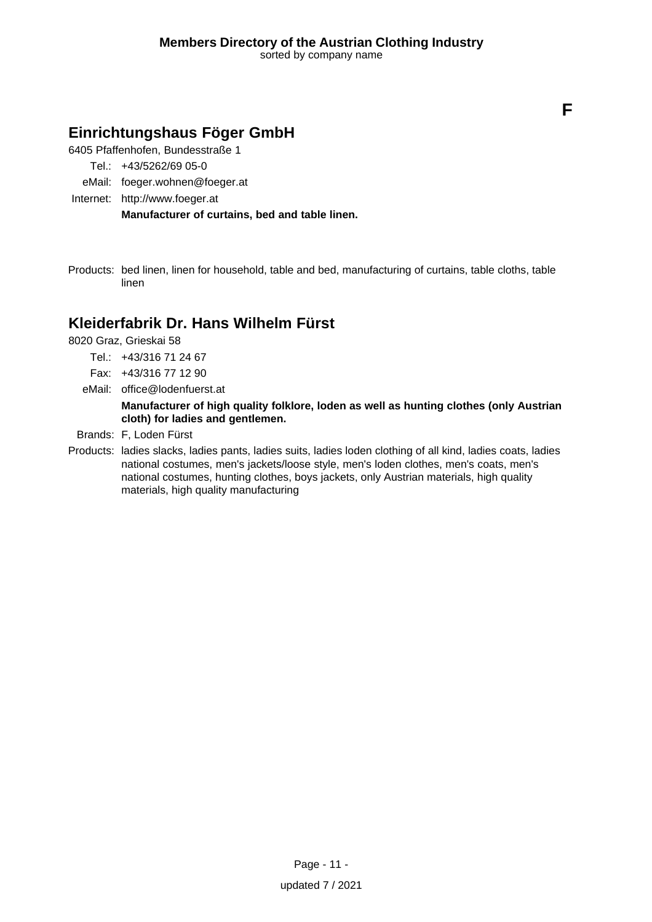**F**

# **Einrichtungshaus Föger GmbH**

6405 Pfaffenhofen, Bundesstraße 1

- Tel.: +43/5262/69 05-0
- eMail: foeger.wohnen@foeger.at
- Internet: <http://www.foeger.at>

**Manufacturer of curtains, bed and table linen.**

Products: bed linen, linen for household, table and bed, manufacturing of curtains, table cloths, table linen

### **Kleiderfabrik Dr. Hans Wilhelm Fürst**

8020 Graz, Grieskai 58

- Tel.: +43/316 71 24 67
- Fax: +43/316 77 12 90
- eMail: office@lodenfuerst.at

**Manufacturer of high quality folklore, loden as well as hunting clothes (only Austrian cloth) for ladies and gentlemen.**

- Brands: F, Loden Fürst
- Products: ladies slacks, ladies pants, ladies suits, ladies loden clothing of all kind, ladies coats, ladies national costumes, men's jackets/loose style, men's loden clothes, men's coats, men's national costumes, hunting clothes, boys jackets, only Austrian materials, high quality materials, high quality manufacturing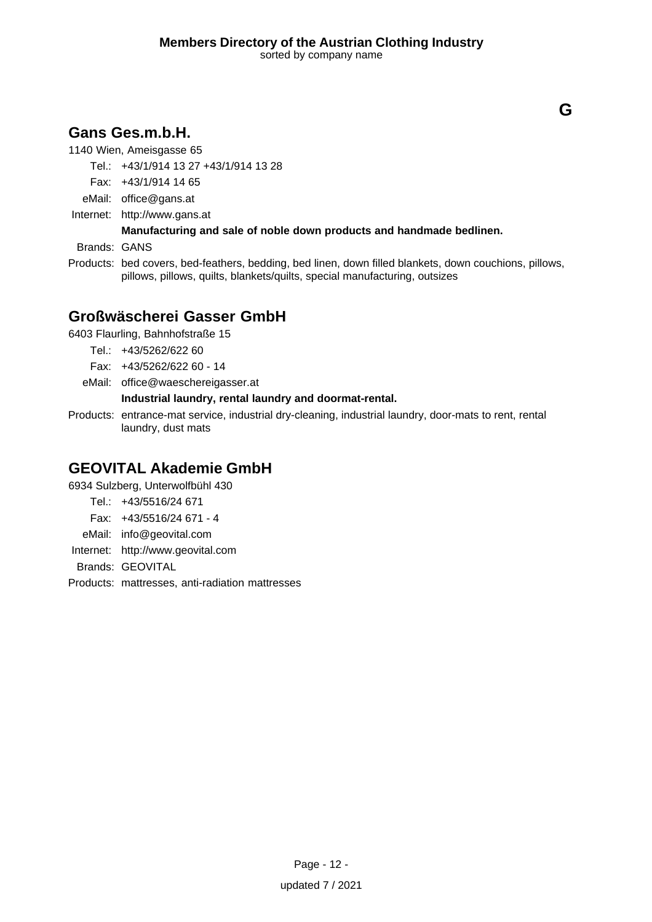# **Gans Ges.m.b.H.**

1140 Wien, Ameisgasse 65

Tel.: +43/1/914 13 27 +43/1/914 13 28

Fax: +43/1/914 14 65

eMail: office@gans.at

Internet: <http://www.gans.at>

### **Manufacturing and sale of noble down products and handmade bedlinen.**

Brands: GANS

Products: bed covers, bed-feathers, bedding, bed linen, down filled blankets, down couchions, pillows, pillows, pillows, quilts, blankets/quilts, special manufacturing, outsizes

# **Großwäscherei Gasser GmbH**

6403 Flaurling, Bahnhofstraße 15

- Tel.: +43/5262/622 60
- Fax: +43/5262/622 60 14
- eMail: office@waeschereigasser.at

### **Industrial laundry, rental laundry and doormat-rental.**

Products: entrance-mat service, industrial dry-cleaning, industrial laundry, door-mats to rent, rental laundry, dust mats

### **GEOVITAL Akademie GmbH**

6934 Sulzberg, Unterwolfbühl 430

- Tel.: +43/5516/24 671
- Fax: +43/5516/24 671 4
- eMail: info@geovital.com
- Internet: <http://www.geovital.com>

Brands: GEOVITAL

Products: mattresses, anti-radiation mattresses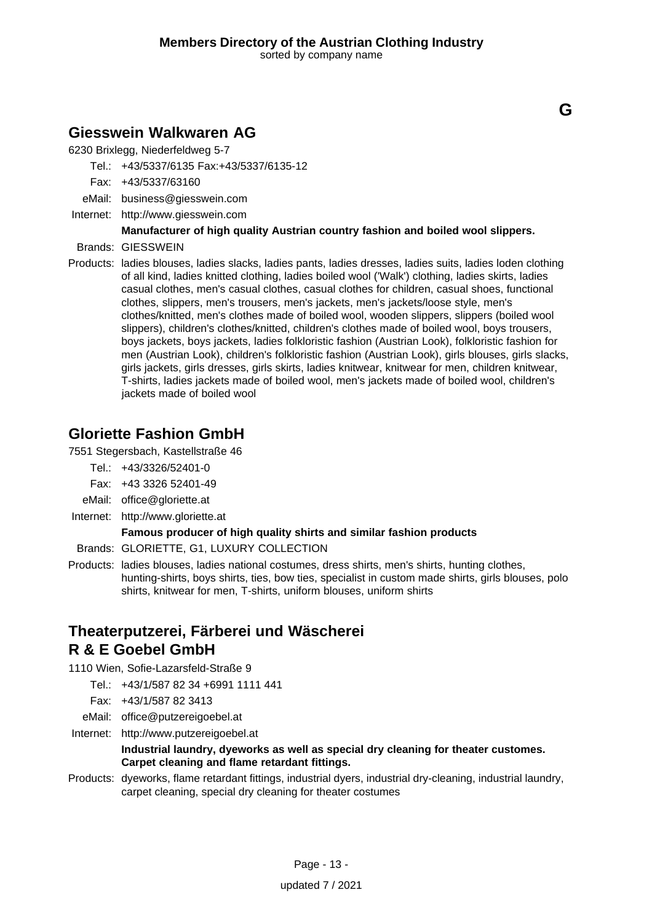### **Giesswein Walkwaren AG**

6230 Brixlegg, Niederfeldweg 5-7

Tel.: +43/5337/6135 Fax:+43/5337/6135-12

- Fax: +43/5337/63160
- eMail: business@giesswein.com
- Internet: <http://www.giesswein.com>

### **Manufacturer of high quality Austrian country fashion and boiled wool slippers.**

- Brands: GIESSWEIN
- Products: ladies blouses, ladies slacks, ladies pants, ladies dresses, ladies suits, ladies loden clothing of all kind, ladies knitted clothing, ladies boiled wool ('Walk') clothing, ladies skirts, ladies casual clothes, men's casual clothes, casual clothes for children, casual shoes, functional clothes, slippers, men's trousers, men's jackets, men's jackets/loose style, men's clothes/knitted, men's clothes made of boiled wool, wooden slippers, slippers (boiled wool slippers), children's clothes/knitted, children's clothes made of boiled wool, boys trousers, boys jackets, boys jackets, ladies folkloristic fashion (Austrian Look), folkloristic fashion for men (Austrian Look), children's folkloristic fashion (Austrian Look), girls blouses, girls slacks, girls jackets, girls dresses, girls skirts, ladies knitwear, knitwear for men, children knitwear, T-shirts, ladies jackets made of boiled wool, men's jackets made of boiled wool, children's jackets made of boiled wool

### **Gloriette Fashion GmbH**

7551 Stegersbach, Kastellstraße 46

- Tel.: +43/3326/52401-0
- Fax: +43 3326 52401-49
- eMail: office@gloriette.at
- Internet: <http://www.gloriette.at>

### **Famous producer of high quality shirts and similar fashion products**

- Brands: GLORIETTE, G1, LUXURY COLLECTION
- Products: ladies blouses, ladies national costumes, dress shirts, men's shirts, hunting clothes, hunting-shirts, boys shirts, ties, bow ties, specialist in custom made shirts, girls blouses, polo shirts, knitwear for men, T-shirts, uniform blouses, uniform shirts

### **Theaterputzerei, Färberei und Wäscherei R & E Goebel GmbH**

- 1110 Wien, Sofie-Lazarsfeld-Straße 9
	- Tel.: +43/1/587 82 34 +6991 1111 441
	- Fax: +43/1/587 82 3413
	- eMail: office@putzereigoebel.at
- Internet: <http://www.putzereigoebel.at>

#### **Industrial laundry, dyeworks as well as special dry cleaning for theater customes. Carpet cleaning and flame retardant fittings.**

Products: dyeworks, flame retardant fittings, industrial dyers, industrial dry-cleaning, industrial laundry, carpet cleaning, special dry cleaning for theater costumes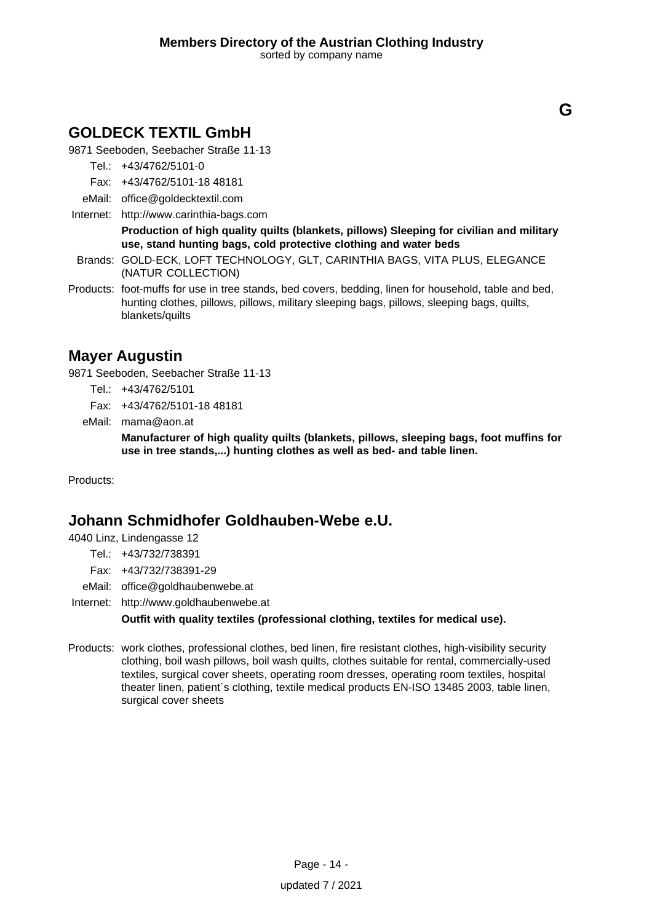# **GOLDECK TEXTIL GmbH**

9871 Seeboden, Seebacher Straße 11-13

Tel.: +43/4762/5101-0

- Fax: +43/4762/5101-18 48181
- eMail: office@goldecktextil.com
- Internet: <http://www.carinthia-bags.com>

**Production of high quality quilts (blankets, pillows) Sleeping for civilian and military use, stand hunting bags, cold protective clothing and water beds**

- Brands: GOLD-ECK, LOFT TECHNOLOGY, GLT, CARINTHIA BAGS, VITA PLUS, ELEGANCE (NATUR COLLECTION)
- Products: foot-muffs for use in tree stands, bed covers, bedding, linen for household, table and bed, hunting clothes, pillows, pillows, military sleeping bags, pillows, sleeping bags, quilts, blankets/quilts

### **Mayer Augustin**

9871 Seeboden, Seebacher Straße 11-13

- Tel.: +43/4762/5101
- Fax: +43/4762/5101-18 48181
- eMail: mama@aon.at

**Manufacturer of high quality quilts (blankets, pillows, sleeping bags, foot muffins for use in tree stands,...) hunting clothes as well as bed- and table linen.**

Products:

### **Johann Schmidhofer Goldhauben-Webe e.U.**

4040 Linz, Lindengasse 12

- Tel.: +43/732/738391
- Fax: +43/732/738391-29
- eMail: office@goldhaubenwebe.at

Internet: <http://www.goldhaubenwebe.at>

**Outfit with quality textiles (professional clothing, textiles for medical use).**

Products: work clothes, professional clothes, bed linen, fire resistant clothes, high-visibility security clothing, boil wash pillows, boil wash quilts, clothes suitable for rental, commercially-used textiles, surgical cover sheets, operating room dresses, operating room textiles, hospital theater linen, patient´s clothing, textile medical products EN-ISO 13485 2003, table linen, surgical cover sheets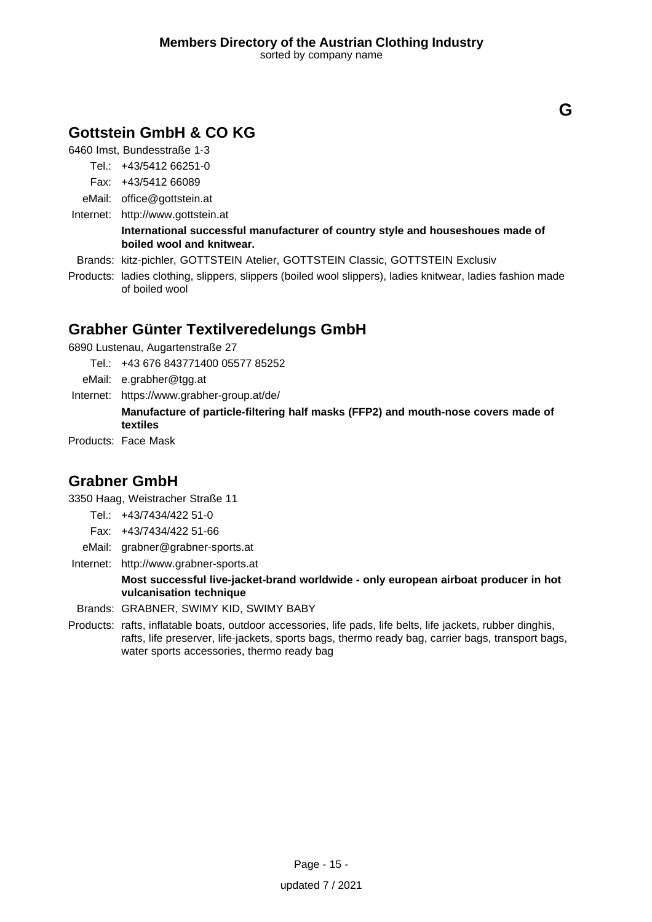# **Gottstein GmbH & CO KG**

6460 Imst, Bundesstraße 1-3

Tel.: +43/5412 66251-0

- Fax: +43/5412 66089
- eMail: office@gottstein.at
- Internet: <http://www.gottstein.at>

### **International successful manufacturer of country style and houseshoues made of boiled wool and knitwear.**

- Brands: kitz-pichler, GOTTSTEIN Atelier, GOTTSTEIN Classic, GOTTSTEIN Exclusiv
- Products: ladies clothing, slippers, slippers (boiled wool slippers), ladies knitwear, ladies fashion made of boiled wool

# **Grabher Günter Textilveredelungs GmbH**

6890 Lustenau, Augartenstraße 27

- Tel.: +43 676 843771400 05577 85252
- eMail: e.grabher@tgg.at
- Internet: https://www.grabher-group.at/de/ **Manufacture of particle-filtering half masks (FFP2) and mouth-nose covers made of textiles**

Products: Face Mask

### **Grabner GmbH**

3350 Haag, Weistracher Straße 11

- Tel.: +43/7434/422 51-0
- Fax: +43/7434/422 51-66
- eMail: grabner@grabner-sports.at
- Internet: <http://www.grabner-sports.at>

### **Most successful live-jacket-brand worldwide - only european airboat producer in hot vulcanisation technique**

- Brands: GRABNER, SWIMY KID, SWIMY BABY
- Products: rafts, inflatable boats, outdoor accessories, life pads, life belts, life jackets, rubber dinghis, rafts, life preserver, life-jackets, sports bags, thermo ready bag, carrier bags, transport bags, water sports accessories, thermo ready bag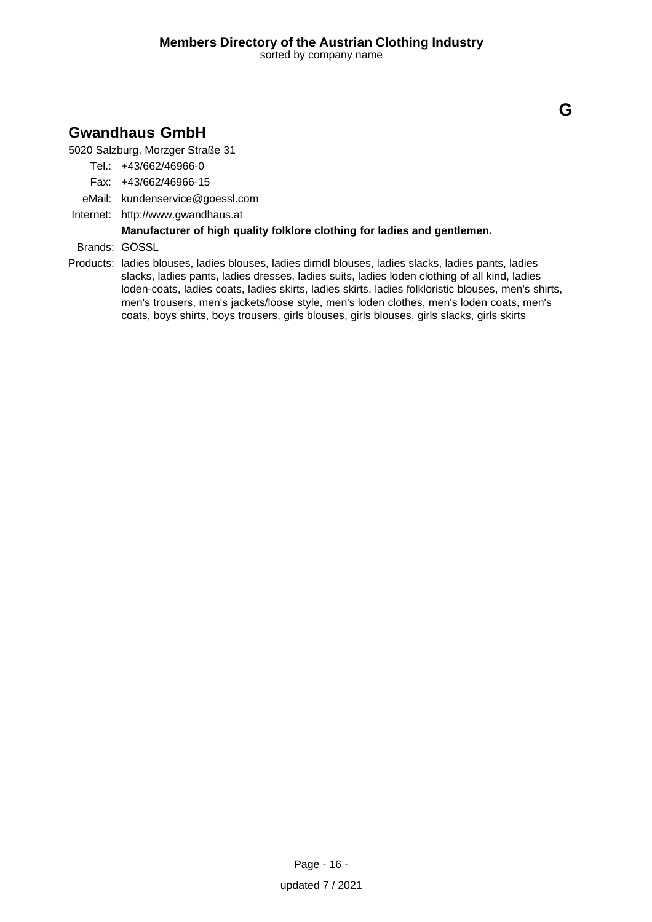# **Gwandhaus GmbH**

5020 Salzburg, Morzger Straße 31

- Tel.: +43/662/46966-0
- Fax: +43/662/46966-15
- eMail: kundenservice@goessl.com
- Internet: <http://www.gwandhaus.at>

### **Manufacturer of high quality folklore clothing for ladies and gentlemen.**

Brands: GÖSSL

Products: ladies blouses, ladies blouses, ladies dirndl blouses, ladies slacks, ladies pants, ladies slacks, ladies pants, ladies dresses, ladies suits, ladies loden clothing of all kind, ladies loden-coats, ladies coats, ladies skirts, ladies skirts, ladies folkloristic blouses, men's shirts, men's trousers, men's jackets/loose style, men's loden clothes, men's loden coats, men's coats, boys shirts, boys trousers, girls blouses, girls blouses, girls slacks, girls skirts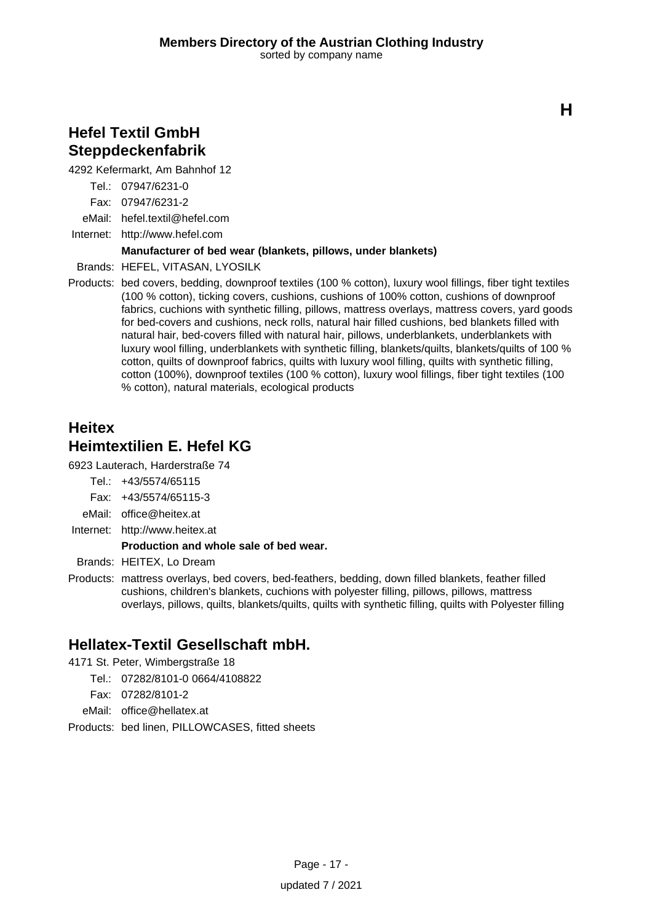### **Hefel Textil GmbH Steppdeckenfabrik**

4292 Kefermarkt, Am Bahnhof 12

Tel.: 07947/6231-0

Fax: 07947/6231-2

eMail: hefel.textil@hefel.com

Internet: <http://www.hefel.com>

### **Manufacturer of bed wear (blankets, pillows, under blankets)**

Brands: HEFEL, VITASAN, LYOSILK

Products: bed covers, bedding, downproof textiles (100 % cotton), luxury wool fillings, fiber tight textiles (100 % cotton), ticking covers, cushions, cushions of 100% cotton, cushions of downproof fabrics, cuchions with synthetic filling, pillows, mattress overlays, mattress covers, yard goods for bed-covers and cushions, neck rolls, natural hair filled cushions, bed blankets filled with natural hair, bed-covers filled with natural hair, pillows, underblankets, underblankets with luxury wool filling, underblankets with synthetic filling, blankets/quilts, blankets/quilts of 100 % cotton, quilts of downproof fabrics, quilts with luxury wool filling, quilts with synthetic filling, cotton (100%), downproof textiles (100 % cotton), luxury wool fillings, fiber tight textiles (100 % cotton), natural materials, ecological products

# **Heitex Heimtextilien E. Hefel KG**

6923 Lauterach, Harderstraße 74

- Tel.: +43/5574/65115
- Fax: +43/5574/65115-3
- eMail: office@heitex.at
- Internet: <http://www.heitex.at>

### **Production and whole sale of bed wear.**

Brands: HEITEX, Lo Dream

Products: mattress overlays, bed covers, bed-feathers, bedding, down filled blankets, feather filled cushions, children's blankets, cuchions with polyester filling, pillows, pillows, mattress overlays, pillows, quilts, blankets/quilts, quilts with synthetic filling, quilts with Polyester filling

# **Hellatex-Textil Gesellschaft mbH.**

4171 St. Peter, Wimbergstraße 18

Tel.: 07282/8101-0 0664/4108822

Fax: 07282/8101-2

eMail: office@hellatex.at

Products: bed linen, PILLOWCASES, fitted sheets

**H**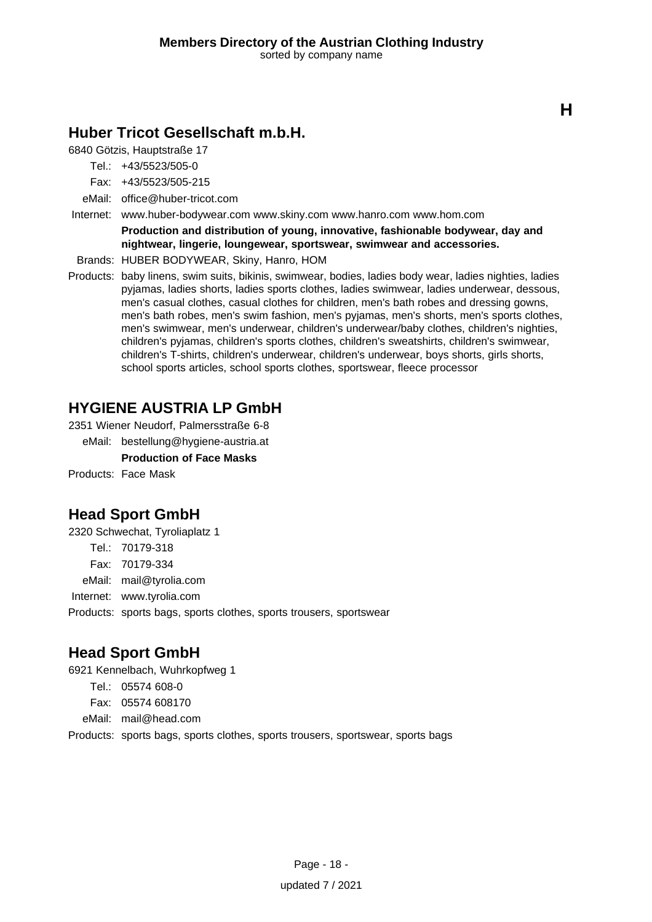# **Huber Tricot Gesellschaft m.b.H.**

6840 Götzis, Hauptstraße 17

Tel.: +43/5523/505-0

Fax: +43/5523/505-215

eMail: office@huber-tricot.com

Internet: www.huber-bodywear.com www.skiny.com www.hanro.com www.hom.com

**Production and distribution of young, innovative, fashionable bodywear, day and nightwear, lingerie, loungewear, sportswear, swimwear and accessories.**

Brands: HUBER BODYWEAR, Skiny, Hanro, HOM

Products: baby linens, swim suits, bikinis, swimwear, bodies, ladies body wear, ladies nighties, ladies pyjamas, ladies shorts, ladies sports clothes, ladies swimwear, ladies underwear, dessous, men's casual clothes, casual clothes for children, men's bath robes and dressing gowns, men's bath robes, men's swim fashion, men's pyjamas, men's shorts, men's sports clothes, men's swimwear, men's underwear, children's underwear/baby clothes, children's nighties, children's pyjamas, children's sports clothes, children's sweatshirts, children's swimwear, children's T-shirts, children's underwear, children's underwear, boys shorts, girls shorts, school sports articles, school sports clothes, sportswear, fleece processor

# **HYGIENE AUSTRIA LP GmbH**

2351 Wiener Neudorf, Palmersstraße 6-8

eMail: bestellung@hygiene-austria.at

**Production of Face Masks**

Products: Face Mask

# **Head Sport GmbH**

2320 Schwechat, Tyroliaplatz 1

Tel.: 70179-318

Fax: 70179-334

eMail: mail@tyrolia.com

Internet: www.tyrolia.com

Products: sports bags, sports clothes, sports trousers, sportswear

# **Head Sport GmbH**

6921 Kennelbach, Wuhrkopfweg 1

Tel.: 05574 608-0

Fax: 05574 608170

eMail: mail@head.com

Products: sports bags, sports clothes, sports trousers, sportswear, sports bags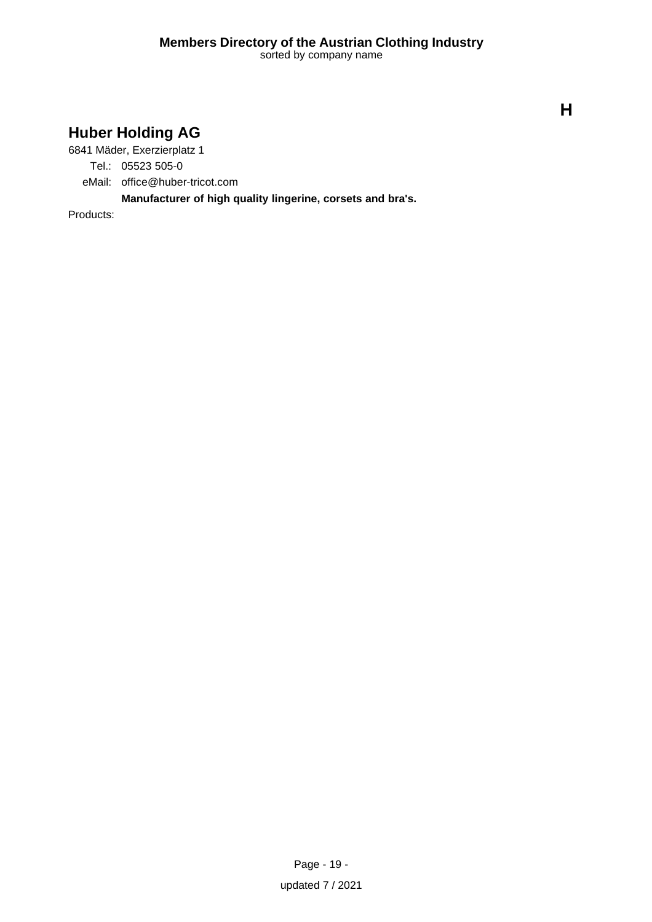# **Huber Holding AG**

6841 Mäder, Exerzierplatz 1

Tel.: 05523 505-0

eMail: office@huber-tricot.com

**Manufacturer of high quality lingerine, corsets and bra's.**

Products:

**H**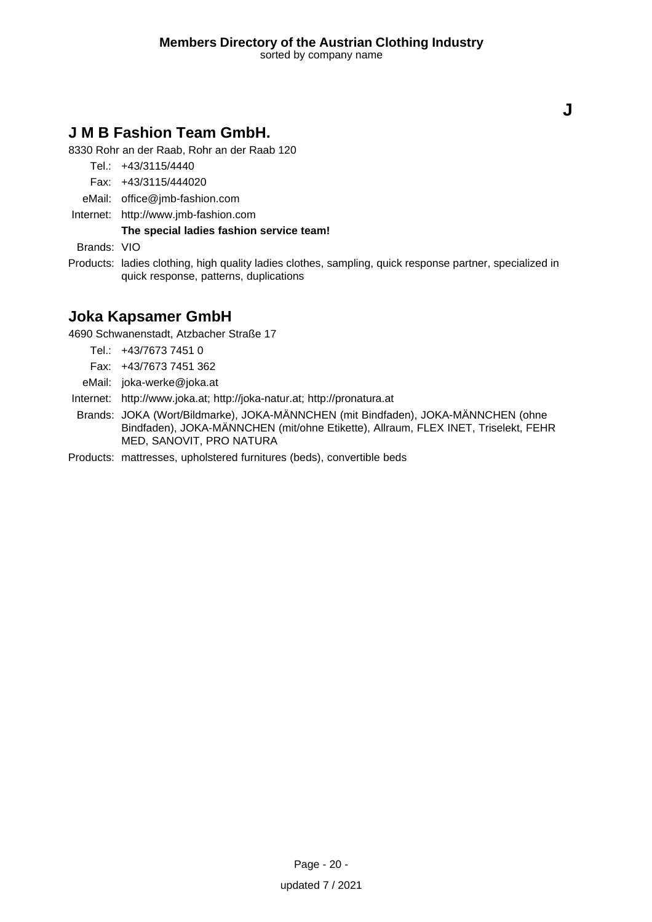# **J M B Fashion Team GmbH.**

8330 Rohr an der Raab, Rohr an der Raab 120

Tel.: +43/3115/4440

- Fax: +43/3115/444020
- eMail: office@jmb-fashion.com
- Internet: <http://www.jmb-fashion.com>

**The special ladies fashion service team!**

Brands: VIO

Products: ladies clothing, high quality ladies clothes, sampling, quick response partner, specialized in quick response, patterns, duplications

### **Joka Kapsamer GmbH**

4690 Schwanenstadt, Atzbacher Straße 17

- Tel.: +43/7673 7451 0
- Fax: +43/7673 7451 362
- eMail: joka-werke@joka.at
- Internet: <http://www.joka.at; http://joka-natur.at; http://pronatura.at>
- Brands: JOKA (Wort/Bildmarke), JOKA-MÄNNCHEN (mit Bindfaden), JOKA-MÄNNCHEN (ohne Bindfaden), JOKA-MÄNNCHEN (mit/ohne Etikette), Allraum, FLEX INET, Triselekt, FEHR MED, SANOVIT, PRO NATURA

Products: mattresses, upholstered furnitures (beds), convertible beds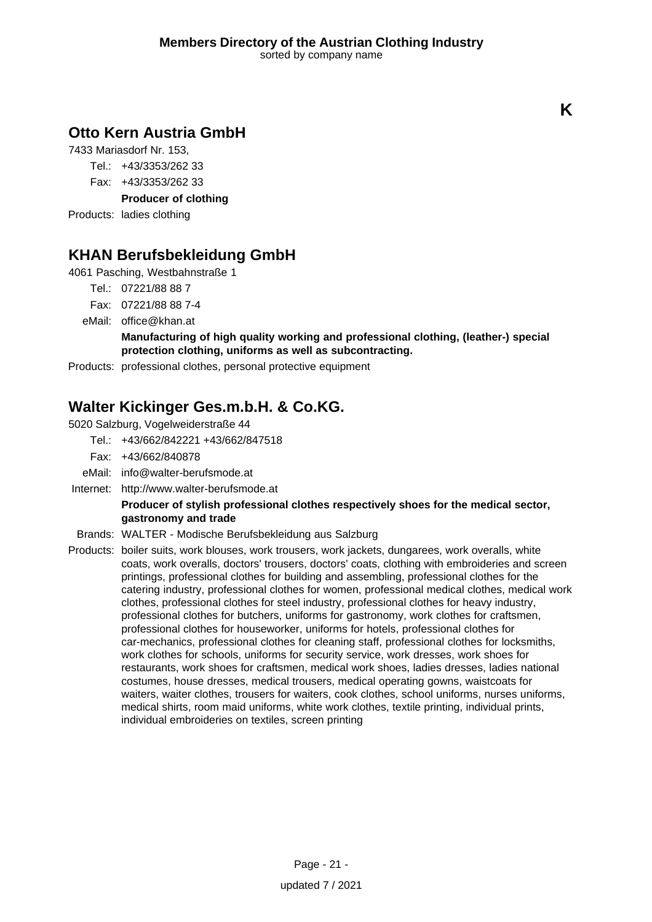# **Otto Kern Austria GmbH**

7433 Mariasdorf Nr. 153,

Tel.: +43/3353/262 33

Fax: +43/3353/262 33

**Producer of clothing**

Products: ladies clothing

# **KHAN Berufsbekleidung GmbH**

4061 Pasching, Westbahnstraße 1

- Tel.: 07221/88 88 7
- Fax: 07221/88 88 7-4
- eMail: office@khan.at

### **Manufacturing of high quality working and professional clothing, (leather-) special protection clothing, uniforms as well as subcontracting.**

Products: professional clothes, personal protective equipment

# **Walter Kickinger Ges.m.b.H. & Co.KG.**

5020 Salzburg, Vogelweiderstraße 44

- Tel.: +43/662/842221 +43/662/847518
- Fax: +43/662/840878
- eMail: info@walter-berufsmode.at
- Internet: <http://www.walter-berufsmode.at>

### **Producer of stylish professional clothes respectively shoes for the medical sector, gastronomy and trade**

- Brands: WALTER Modische Berufsbekleidung aus Salzburg
- Products: boiler suits, work blouses, work trousers, work jackets, dungarees, work overalls, white coats, work overalls, doctors' trousers, doctors' coats, clothing with embroideries and screen printings, professional clothes for building and assembling, professional clothes for the catering industry, professional clothes for women, professional medical clothes, medical work clothes, professional clothes for steel industry, professional clothes for heavy industry, professional clothes for butchers, uniforms for gastronomy, work clothes for craftsmen, professional clothes for houseworker, uniforms for hotels, professional clothes for car-mechanics, professional clothes for cleaning staff, professional clothes for locksmiths, work clothes for schools, uniforms for security service, work dresses, work shoes for restaurants, work shoes for craftsmen, medical work shoes, ladies dresses, ladies national costumes, house dresses, medical trousers, medical operating gowns, waistcoats for waiters, waiter clothes, trousers for waiters, cook clothes, school uniforms, nurses uniforms, medical shirts, room maid uniforms, white work clothes, textile printing, individual prints, individual embroideries on textiles, screen printing

**K**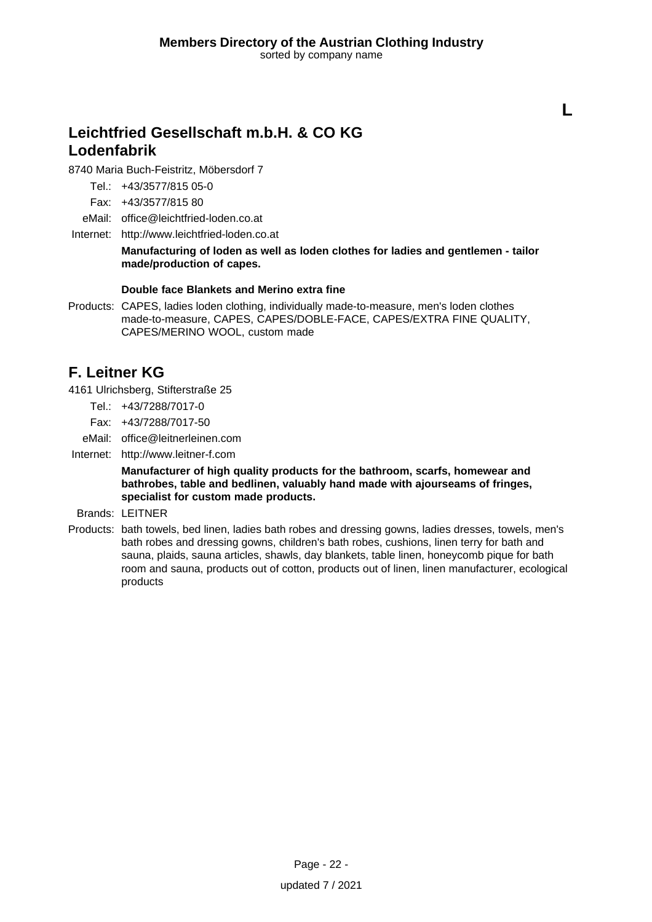**L**

# **Leichtfried Gesellschaft m.b.H. & CO KG Lodenfabrik**

8740 Maria Buch-Feistritz, Möbersdorf 7

Tel.: +43/3577/815 05-0

Fax: +43/3577/815 80

eMail: office@leichtfried-loden.co.at

Internet: <http://www.leichtfried-loden.co.at>

**Manufacturing of loden as well as loden clothes for ladies and gentlemen - tailor made/production of capes.**

#### **Double face Blankets and Merino extra fine**

Products: CAPES, ladies loden clothing, individually made-to-measure, men's loden clothes made-to-measure, CAPES, CAPES/DOBLE-FACE, CAPES/EXTRA FINE QUALITY, CAPES/MERINO WOOL, custom made

# **F. Leitner KG**

4161 Ulrichsberg, Stifterstraße 25

- Tel.: +43/7288/7017-0
- Fax: +43/7288/7017-50
- eMail: office@leitnerleinen.com

Internet: <http://www.leitner-f.com>

**Manufacturer of high quality products for the bathroom, scarfs, homewear and bathrobes, table and bedlinen, valuably hand made with ajourseams of fringes, specialist for custom made products.**

Brands: LEITNER

Products: bath towels, bed linen, ladies bath robes and dressing gowns, ladies dresses, towels, men's bath robes and dressing gowns, children's bath robes, cushions, linen terry for bath and sauna, plaids, sauna articles, shawls, day blankets, table linen, honeycomb pique for bath room and sauna, products out of cotton, products out of linen, linen manufacturer, ecological products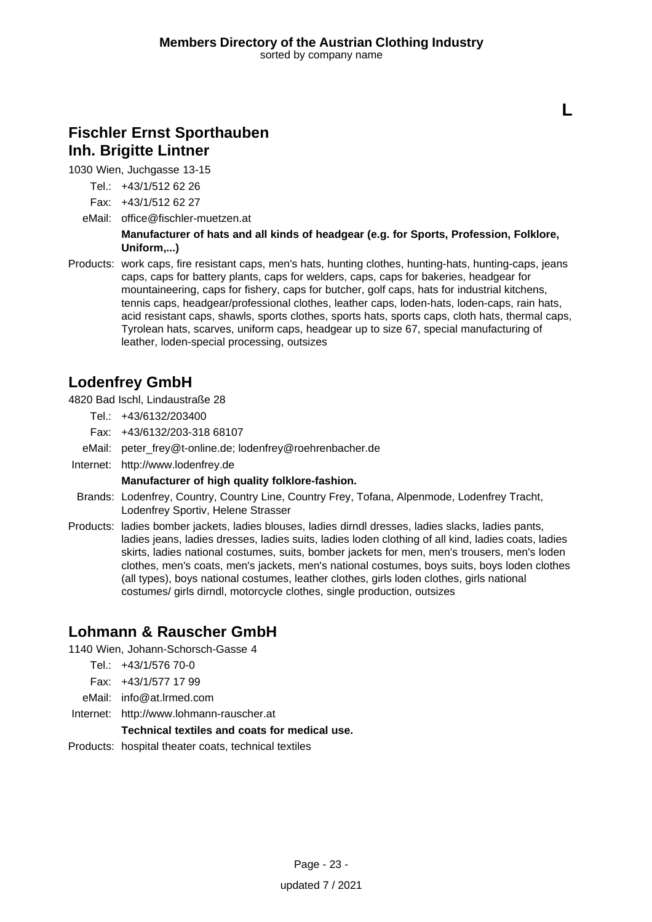### **Fischler Ernst Sporthauben Inh. Brigitte Lintner**

1030 Wien, Juchgasse 13-15

Tel.: +43/1/512 62 26

- Fax: +43/1/512 62 27
- eMail: office@fischler-muetzen.at

**Manufacturer of hats and all kinds of headgear (e.g. for Sports, Profession, Folklore, Uniform,...)**

**L**

Products: work caps, fire resistant caps, men's hats, hunting clothes, hunting-hats, hunting-caps, jeans caps, caps for battery plants, caps for welders, caps, caps for bakeries, headgear for mountaineering, caps for fishery, caps for butcher, golf caps, hats for industrial kitchens, tennis caps, headgear/professional clothes, leather caps, loden-hats, loden-caps, rain hats, acid resistant caps, shawls, sports clothes, sports hats, sports caps, cloth hats, thermal caps, Tyrolean hats, scarves, uniform caps, headgear up to size 67, special manufacturing of leather, loden-special processing, outsizes

### **Lodenfrey GmbH**

4820 Bad Ischl, Lindaustraße 28

- Tel.: +43/6132/203400
- Fax: +43/6132/203-318 68107
- eMail: peter\_frey@t-online.de; lodenfrey@roehrenbacher.de
- Internet: <http://www.lodenfrey.de>

#### **Manufacturer of high quality folklore-fashion.**

- Brands: Lodenfrey, Country, Country Line, Country Frey, Tofana, Alpenmode, Lodenfrey Tracht, Lodenfrey Sportiv, Helene Strasser
- Products: ladies bomber jackets, ladies blouses, ladies dirndl dresses, ladies slacks, ladies pants, ladies jeans, ladies dresses, ladies suits, ladies loden clothing of all kind, ladies coats, ladies skirts, ladies national costumes, suits, bomber jackets for men, men's trousers, men's loden clothes, men's coats, men's jackets, men's national costumes, boys suits, boys loden clothes (all types), boys national costumes, leather clothes, girls loden clothes, girls national costumes/ girls dirndl, motorcycle clothes, single production, outsizes

### **Lohmann & Rauscher GmbH**

1140 Wien, Johann-Schorsch-Gasse 4

- Tel.: +43/1/576 70-0
- Fax: +43/1/577 17 99
- eMail: info@at.lrmed.com
- Internet: <http://www.lohmann-rauscher.at>

### **Technical textiles and coats for medical use.**

Products: hospital theater coats, technical textiles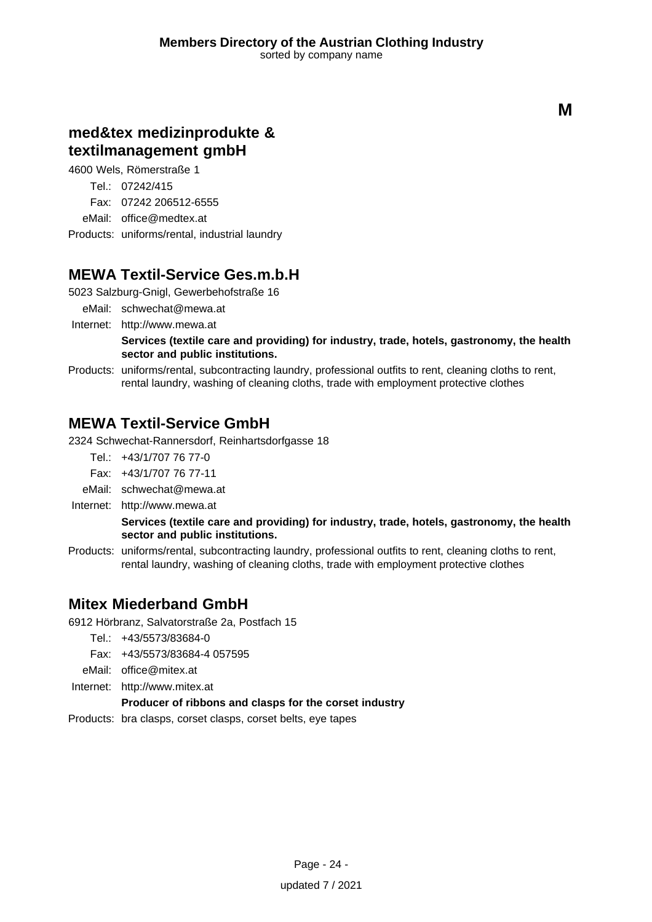# **med&tex medizinprodukte & textilmanagement gmbH**

4600 Wels, Römerstraße 1

Tel.: 07242/415

Fax: 07242 206512-6555

eMail: office@medtex.at

Products: uniforms/rental, industrial laundry

# **MEWA Textil-Service Ges.m.b.H**

5023 Salzburg-Gnigl, Gewerbehofstraße 16

eMail: schwechat@mewa.at

Internet: <http://www.mewa.at>

**Services (textile care and providing) for industry, trade, hotels, gastronomy, the health sector and public institutions.**

Products: uniforms/rental, subcontracting laundry, professional outfits to rent, cleaning cloths to rent, rental laundry, washing of cleaning cloths, trade with employment protective clothes

### **MEWA Textil-Service GmbH**

2324 Schwechat-Rannersdorf, Reinhartsdorfgasse 18

Tel.: +43/1/707 76 77-0

Fax: +43/1/707 76 77-11

- eMail: schwechat@mewa.at
- Internet: <http://www.mewa.at>

#### **Services (textile care and providing) for industry, trade, hotels, gastronomy, the health sector and public institutions.**

Products: uniforms/rental, subcontracting laundry, professional outfits to rent, cleaning cloths to rent, rental laundry, washing of cleaning cloths, trade with employment protective clothes

### **Mitex Miederband GmbH**

6912 Hörbranz, Salvatorstraße 2a, Postfach 15

- Tel.: +43/5573/83684-0
- Fax: +43/5573/83684-4 057595
- eMail: office@mitex.at
- Internet: <http://www.mitex.at>

### **Producer of ribbons and clasps for the corset industry**

Products: bra clasps, corset clasps, corset belts, eye tapes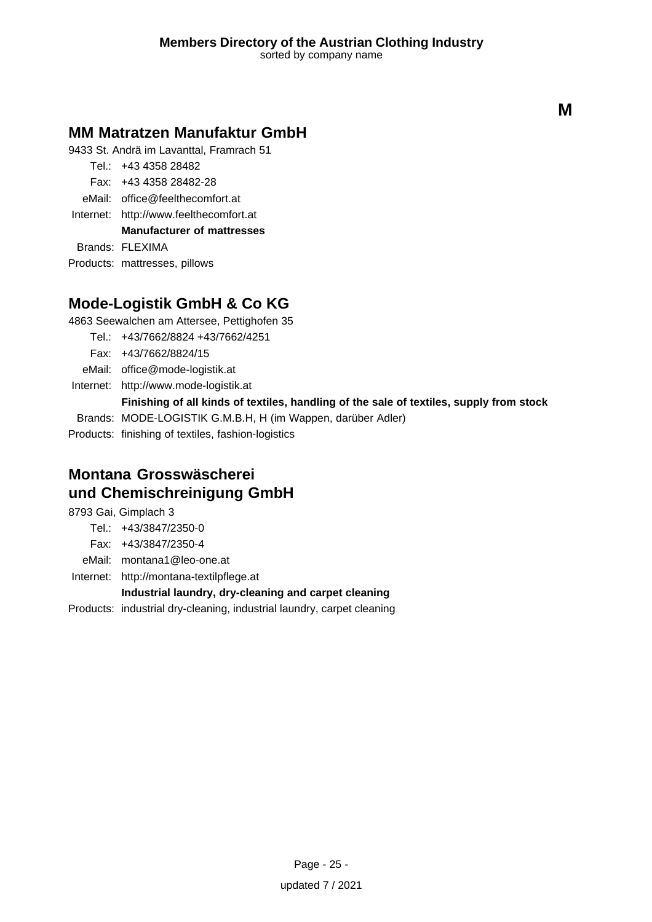### **MM Matratzen Manufaktur GmbH**

9433 St. Andrä im Lavanttal, Framrach 51

- Tel.: +43 4358 28482 Fax: +43 4358 28482-28
- eMail: office@feelthecomfort.at
- Internet: <http://www.feelthecomfort.at>

**Manufacturer of mattresses**

Brands: FLEXIMA

Products: mattresses, pillows

# **Mode-Logistik GmbH & Co KG**

4863 Seewalchen am Attersee, Pettighofen 35

- Tel.: +43/7662/8824 +43/7662/4251
	- Fax: +43/7662/8824/15
- eMail: office@mode-logistik.at
- Internet: <http://www.mode-logistik.at>
	- **Finishing of all kinds of textiles, handling of the sale of textiles, supply from stock**

Brands: MODE-LOGISTIK G.M.B.H, H (im Wappen, darüber Adler)

Products: finishing of textiles, fashion-logistics

# **Montana Grosswäscherei und Chemischreinigung GmbH**

8793 Gai, Gimplach 3

- Tel.: +43/3847/2350-0
- Fax: +43/3847/2350-4
- eMail: montana1@leo-one.at
- Internet: <http://montana-textilpflege.at>

### **Industrial laundry, dry-cleaning and carpet cleaning**

Products: industrial dry-cleaning, industrial laundry, carpet cleaning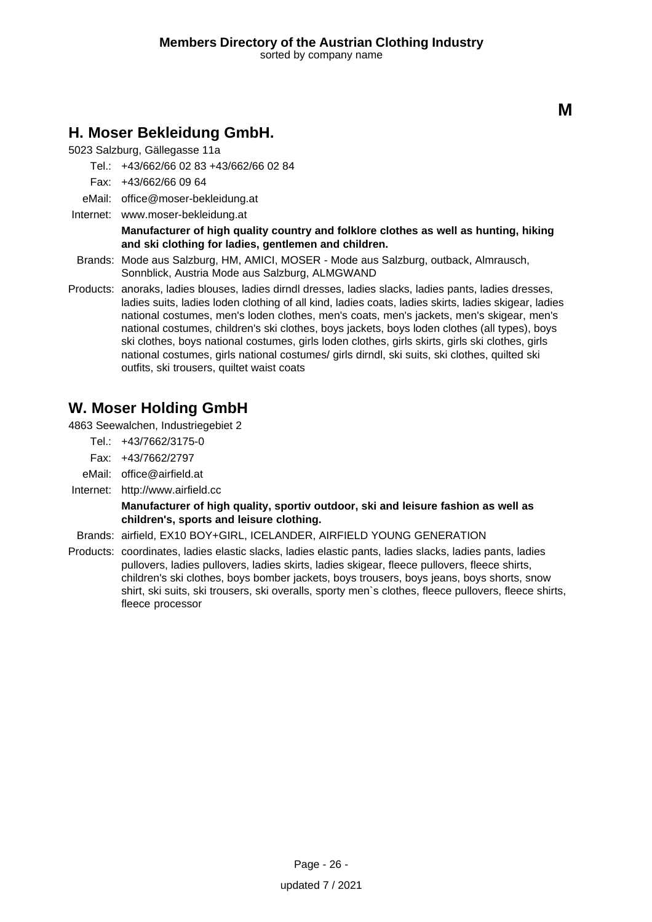### **H. Moser Bekleidung GmbH.**

5023 Salzburg, Gällegasse 11a

- Tel.: +43/662/66 02 83 +43/662/66 02 84
- Fax: +43/662/66 09 64
- eMail: office@moser-bekleidung.at
- Internet: www.moser-bekleidung.at

#### **Manufacturer of high quality country and folklore clothes as well as hunting, hiking and ski clothing for ladies, gentlemen and children.**

- Brands: Mode aus Salzburg, HM, AMICI, MOSER Mode aus Salzburg, outback, Almrausch, Sonnblick, Austria Mode aus Salzburg, ALMGWAND
- Products: anoraks, ladies blouses, ladies dirndl dresses, ladies slacks, ladies pants, ladies dresses, ladies suits, ladies loden clothing of all kind, ladies coats, ladies skirts, ladies skigear, ladies national costumes, men's loden clothes, men's coats, men's jackets, men's skigear, men's national costumes, children's ski clothes, boys jackets, boys loden clothes (all types), boys ski clothes, boys national costumes, girls loden clothes, girls skirts, girls ski clothes, girls national costumes, girls national costumes/ girls dirndl, ski suits, ski clothes, quilted ski outfits, ski trousers, quiltet waist coats

# **W. Moser Holding GmbH**

4863 Seewalchen, Industriegebiet 2

- Tel.: +43/7662/3175-0
- Fax: +43/7662/2797
- eMail: office@airfield.at
- Internet: <http://www.airfield.cc>

**Manufacturer of high quality, sportiv outdoor, ski and leisure fashion as well as children's, sports and leisure clothing.**

Brands: airfield, EX10 BOY+GIRL, ICELANDER, AIRFIELD YOUNG GENERATION

Products: coordinates, ladies elastic slacks, ladies elastic pants, ladies slacks, ladies pants, ladies pullovers, ladies pullovers, ladies skirts, ladies skigear, fleece pullovers, fleece shirts, children's ski clothes, boys bomber jackets, boys trousers, boys jeans, boys shorts, snow shirt, ski suits, ski trousers, ski overalls, sporty men`s clothes, fleece pullovers, fleece shirts, fleece processor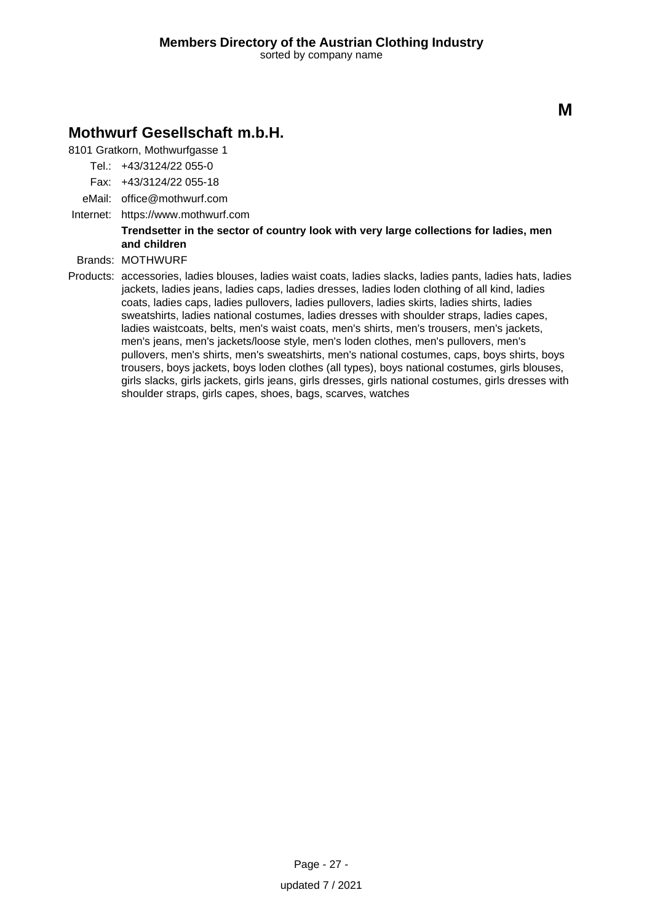### **Mothwurf Gesellschaft m.b.H.**

8101 Gratkorn, Mothwurfgasse 1

- Tel.: +43/3124/22 055-0
- Fax: +43/3124/22 055-18
- eMail: office@mothwurf.com
- Internet: https://www.mothwurf.com

**Trendsetter in the sector of country look with very large collections for ladies, men and children**

### Brands: MOTHWURF

Products: accessories, ladies blouses, ladies waist coats, ladies slacks, ladies pants, ladies hats, ladies jackets, ladies jeans, ladies caps, ladies dresses, ladies loden clothing of all kind, ladies coats, ladies caps, ladies pullovers, ladies pullovers, ladies skirts, ladies shirts, ladies sweatshirts, ladies national costumes, ladies dresses with shoulder straps, ladies capes, ladies waistcoats, belts, men's waist coats, men's shirts, men's trousers, men's jackets, men's jeans, men's jackets/loose style, men's loden clothes, men's pullovers, men's pullovers, men's shirts, men's sweatshirts, men's national costumes, caps, boys shirts, boys trousers, boys jackets, boys loden clothes (all types), boys national costumes, girls blouses, girls slacks, girls jackets, girls jeans, girls dresses, girls national costumes, girls dresses with shoulder straps, girls capes, shoes, bags, scarves, watches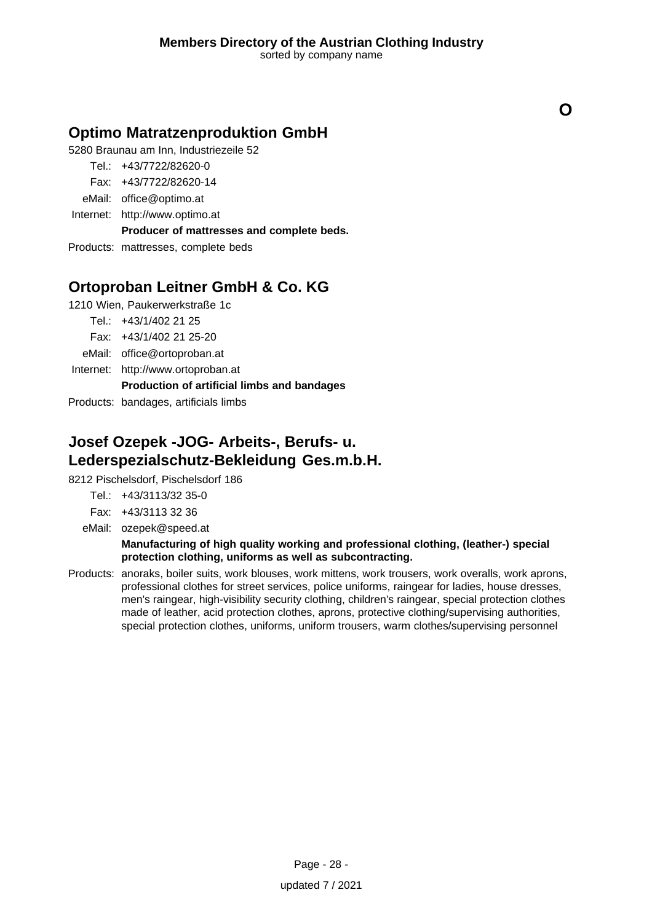**O**

### **Optimo Matratzenproduktion GmbH**

5280 Braunau am Inn, Industriezeile 52

- Tel.: +43/7722/82620-0
- Fax: +43/7722/82620-14
- eMail: office@optimo.at
- Internet: <http://www.optimo.at>

**Producer of mattresses and complete beds.**

Products: mattresses, complete beds

# **Ortoproban Leitner GmbH & Co. KG**

1210 Wien, Paukerwerkstraße 1c

Tel.: +43/1/402 21 25

Fax: +43/1/402 21 25-20

eMail: office@ortoproban.at

Internet: <http://www.ortoproban.at>

### **Production of artificial limbs and bandages**

Products: bandages, artificials limbs

# **Josef Ozepek -JOG- Arbeits-, Berufs- u. Lederspezialschutz-Bekleidung Ges.m.b.H.**

8212 Pischelsdorf, Pischelsdorf 186

- Tel.: +43/3113/32 35-0
- Fax: +43/3113 32 36
- eMail: ozepek@speed.at

### **Manufacturing of high quality working and professional clothing, (leather-) special protection clothing, uniforms as well as subcontracting.**

Products: anoraks, boiler suits, work blouses, work mittens, work trousers, work overalls, work aprons, professional clothes for street services, police uniforms, raingear for ladies, house dresses, men's raingear, high-visibility security clothing, children's raingear, special protection clothes made of leather, acid protection clothes, aprons, protective clothing/supervising authorities, special protection clothes, uniforms, uniform trousers, warm clothes/supervising personnel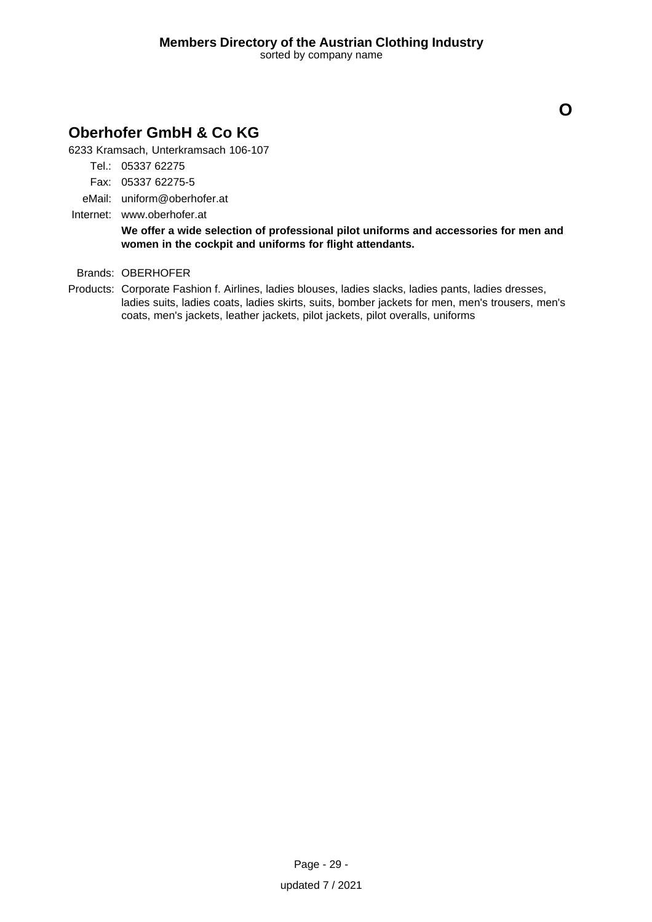# **Oberhofer GmbH & Co KG**

6233 Kramsach, Unterkramsach 106-107

- Tel.: 05337 62275
- Fax: 05337 62275-5
- eMail: uniform@oberhofer.at
- Internet: www.oberhofer.at

**We offer a wide selection of professional pilot uniforms and accessories for men and women in the cockpit and uniforms for flight attendants.**

### Brands: OBERHOFER

Products: Corporate Fashion f. Airlines, ladies blouses, ladies slacks, ladies pants, ladies dresses, ladies suits, ladies coats, ladies skirts, suits, bomber jackets for men, men's trousers, men's coats, men's jackets, leather jackets, pilot jackets, pilot overalls, uniforms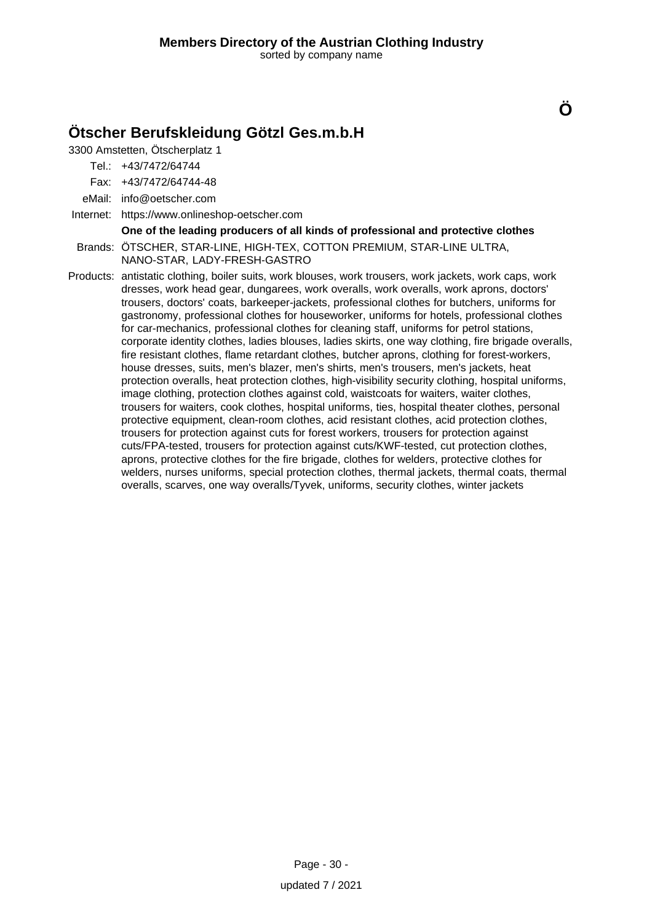# **Ötscher Berufskleidung Götzl Ges.m.b.H**

3300 Amstetten, Ötscherplatz 1

Tel.: +43/7472/64744

Fax: +43/7472/64744-48

eMail: info@oetscher.com

Internet: https://www.onlineshop-oetscher.com

#### **One of the leading producers of all kinds of professional and protective clothes**

**Ö**

Brands: ÖTSCHER, STAR-LINE, HIGH-TEX, COTTON PREMIUM, STAR-LINE ULTRA, NANO-STAR, LADY-FRESH-GASTRO

Products: antistatic clothing, boiler suits, work blouses, work trousers, work jackets, work caps, work dresses, work head gear, dungarees, work overalls, work overalls, work aprons, doctors' trousers, doctors' coats, barkeeper-jackets, professional clothes for butchers, uniforms for gastronomy, professional clothes for houseworker, uniforms for hotels, professional clothes for car-mechanics, professional clothes for cleaning staff, uniforms for petrol stations, corporate identity clothes, ladies blouses, ladies skirts, one way clothing, fire brigade overalls, fire resistant clothes, flame retardant clothes, butcher aprons, clothing for forest-workers, house dresses, suits, men's blazer, men's shirts, men's trousers, men's jackets, heat protection overalls, heat protection clothes, high-visibility security clothing, hospital uniforms, image clothing, protection clothes against cold, waistcoats for waiters, waiter clothes, trousers for waiters, cook clothes, hospital uniforms, ties, hospital theater clothes, personal protective equipment, clean-room clothes, acid resistant clothes, acid protection clothes, trousers for protection against cuts for forest workers, trousers for protection against cuts/FPA-tested, trousers for protection against cuts/KWF-tested, cut protection clothes, aprons, protective clothes for the fire brigade, clothes for welders, protective clothes for welders, nurses uniforms, special protection clothes, thermal jackets, thermal coats, thermal overalls, scarves, one way overalls/Tyvek, uniforms, security clothes, winter jackets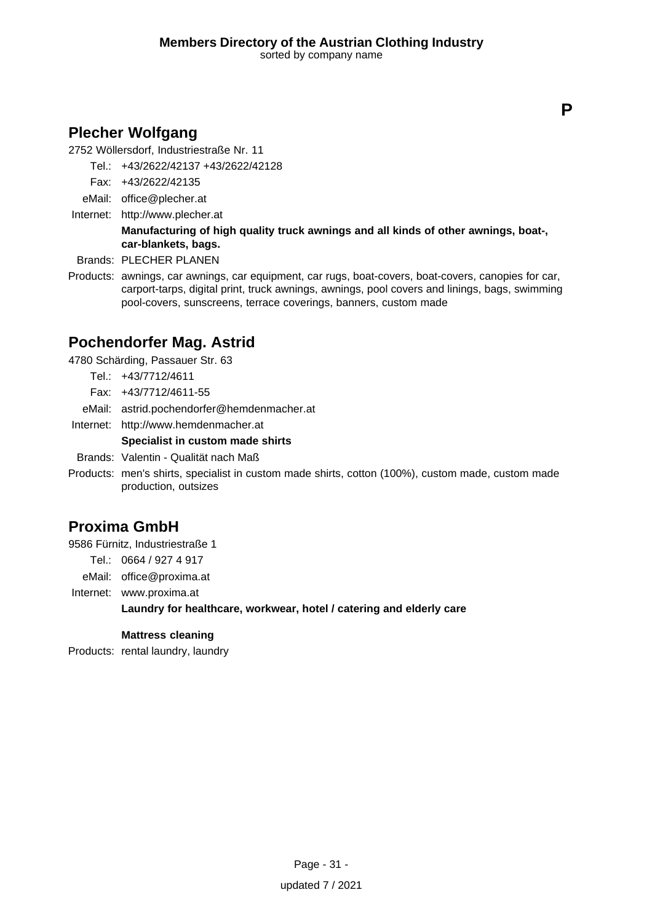# **Plecher Wolfgang**

2752 Wöllersdorf, Industriestraße Nr. 11

- Tel.: +43/2622/42137 +43/2622/42128
- Fax: +43/2622/42135
- eMail: office@plecher.at
- Internet: <http://www.plecher.at>

### **Manufacturing of high quality truck awnings and all kinds of other awnings, boat-, car-blankets, bags.**

- Brands: PLECHER PLANEN
- Products: awnings, car awnings, car equipment, car rugs, boat-covers, boat-covers, canopies for car, carport-tarps, digital print, truck awnings, awnings, pool covers and linings, bags, swimming pool-covers, sunscreens, terrace coverings, banners, custom made

# **Pochendorfer Mag. Astrid**

4780 Schärding, Passauer Str. 63

- Tel.: +43/7712/4611
- Fax: +43/7712/4611-55
- eMail: astrid.pochendorfer@hemdenmacher.at
- Internet: <http://www.hemdenmacher.at>

### **Specialist in custom made shirts**

Brands: Valentin - Qualität nach Maß

Products: men's shirts, specialist in custom made shirts, cotton (100%), custom made, custom made production, outsizes

### **Proxima GmbH**

9586 Fürnitz, Industriestraße 1

Tel.: 0664 / 927 4 917

eMail: office@proxima.at

Internet: www.proxima.at

### **Laundry for healthcare, workwear, hotel / catering and elderly care**

### **Mattress cleaning**

Products: rental laundry, laundry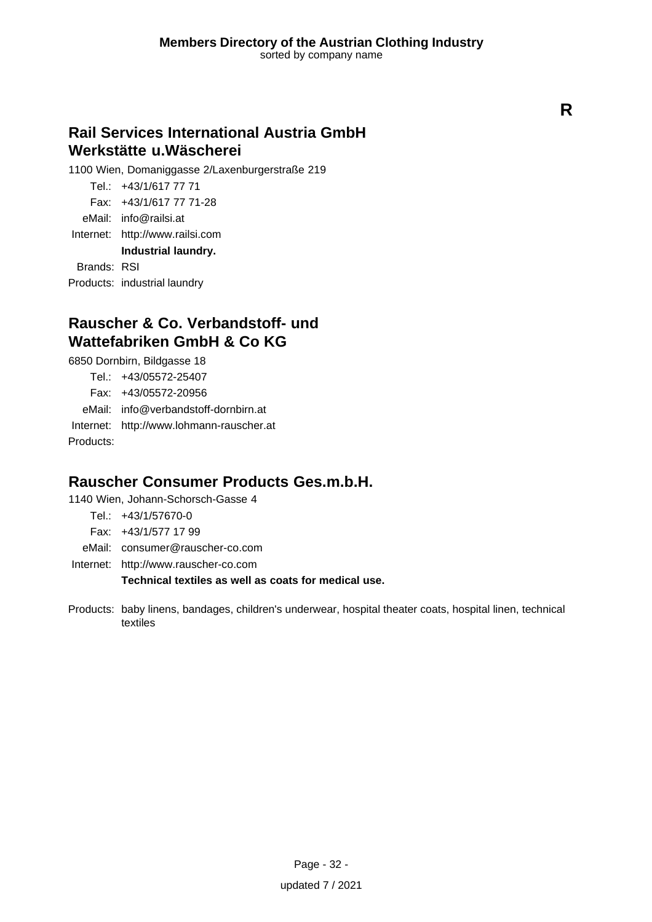# **Rail Services International Austria GmbH Werkstätte u.Wäscherei**

1100 Wien, Domaniggasse 2/Laxenburgerstraße 219

Tel.: +43/1/617 77 71 Fax: +43/1/617 77 71-28 eMail: info@railsi.at Internet: <http://www.railsi.com> **Industrial laundry.**

Brands: RSI

Products: industrial laundry

### **Rauscher & Co. Verbandstoff- und Wattefabriken GmbH & Co KG**

6850 Dornbirn, Bildgasse 18

Tel.: +43/05572-25407 Fax: +43/05572-20956 eMail: info@verbandstoff-dornbirn.at Internet: <http://www.lohmann-rauscher.at>

Products:

### **Rauscher Consumer Products Ges.m.b.H.**

1140 Wien, Johann-Schorsch-Gasse 4

- Tel.: +43/1/57670-0
- Fax: +43/1/577 17 99
- eMail: consumer@rauscher-co.com

Internet: <http://www.rauscher-co.com>

### **Technical textiles as well as coats for medical use.**

Products: baby linens, bandages, children's underwear, hospital theater coats, hospital linen, technical textiles

**R**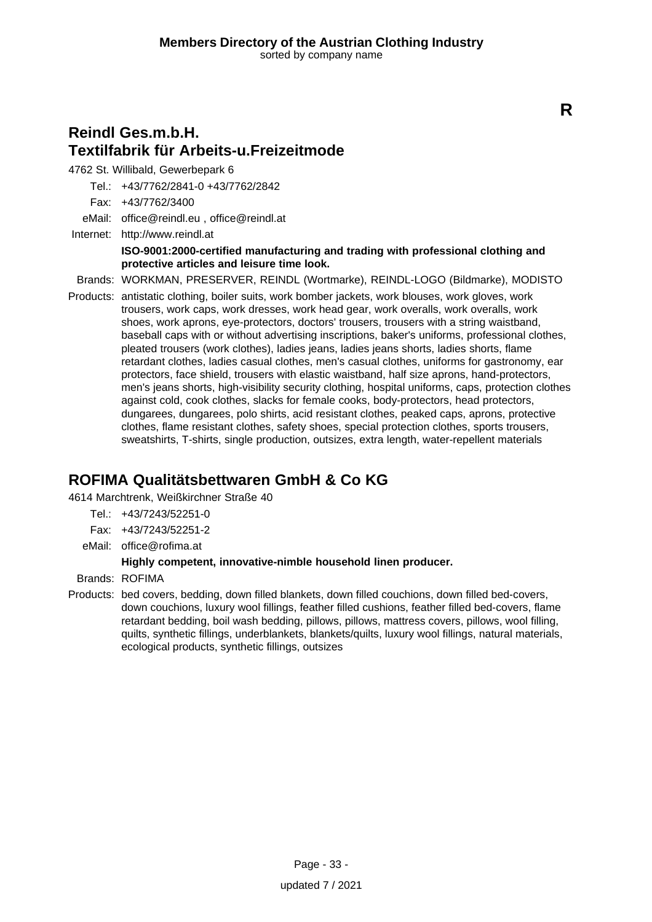# **Reindl Ges.m.b.H. Textilfabrik für Arbeits-u.Freizeitmode**

4762 St. Willibald, Gewerbepark 6

Tel.: +43/7762/2841-0 +43/7762/2842

Fax: +43/7762/3400

eMail: office@reindl.eu , office@reindl.at

Internet: <http://www.reindl.at> **ISO-9001:2000-certified manufacturing and trading with professional clothing and protective articles and leisure time look.**

Brands: WORKMAN, PRESERVER, REINDL (Wortmarke), REINDL-LOGO (Bildmarke), MODISTO

Products: antistatic clothing, boiler suits, work bomber jackets, work blouses, work gloves, work trousers, work caps, work dresses, work head gear, work overalls, work overalls, work shoes, work aprons, eye-protectors, doctors' trousers, trousers with a string waistband, baseball caps with or without advertising inscriptions, baker's uniforms, professional clothes, pleated trousers (work clothes), ladies jeans, ladies jeans shorts, ladies shorts, flame retardant clothes, ladies casual clothes, men's casual clothes, uniforms for gastronomy, ear protectors, face shield, trousers with elastic waistband, half size aprons, hand-protectors, men's jeans shorts, high-visibility security clothing, hospital uniforms, caps, protection clothes against cold, cook clothes, slacks for female cooks, body-protectors, head protectors, dungarees, dungarees, polo shirts, acid resistant clothes, peaked caps, aprons, protective clothes, flame resistant clothes, safety shoes, special protection clothes, sports trousers, sweatshirts, T-shirts, single production, outsizes, extra length, water-repellent materials

# **ROFIMA Qualitätsbettwaren GmbH & Co KG**

4614 Marchtrenk, Weißkirchner Straße 40

- Tel.: +43/7243/52251-0
- Fax: +43/7243/52251-2
- eMail: office@rofima.at

### **Highly competent, innovative-nimble household linen producer.**

Brands: ROFIMA

Products: bed covers, bedding, down filled blankets, down filled couchions, down filled bed-covers, down couchions, luxury wool fillings, feather filled cushions, feather filled bed-covers, flame retardant bedding, boil wash bedding, pillows, pillows, mattress covers, pillows, wool filling, quilts, synthetic fillings, underblankets, blankets/quilts, luxury wool fillings, natural materials, ecological products, synthetic fillings, outsizes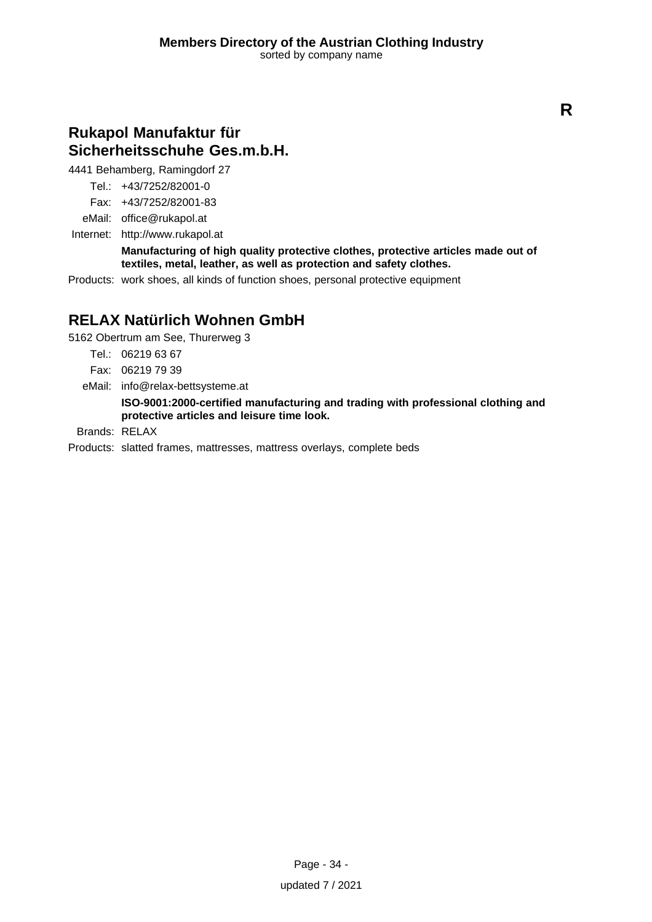### **Rukapol Manufaktur für Sicherheitsschuhe Ges.m.b.H.**

4441 Behamberg, Ramingdorf 27

Tel.: +43/7252/82001-0

Fax: +43/7252/82001-83

eMail: office@rukapol.at

Internet: <http://www.rukapol.at>

**Manufacturing of high quality protective clothes, protective articles made out of textiles, metal, leather, as well as protection and safety clothes.**

Products: work shoes, all kinds of function shoes, personal protective equipment

### **RELAX Natürlich Wohnen GmbH**

5162 Obertrum am See, Thurerweg 3

Tel.: 06219 63 67

Fax: 06219 79 39

eMail: info@relax-bettsysteme.at

**ISO-9001:2000-certified manufacturing and trading with professional clothing and protective articles and leisure time look.**

Brands: RELAX

Products: slatted frames, mattresses, mattress overlays, complete beds

Page - 34 updated 7 / 2021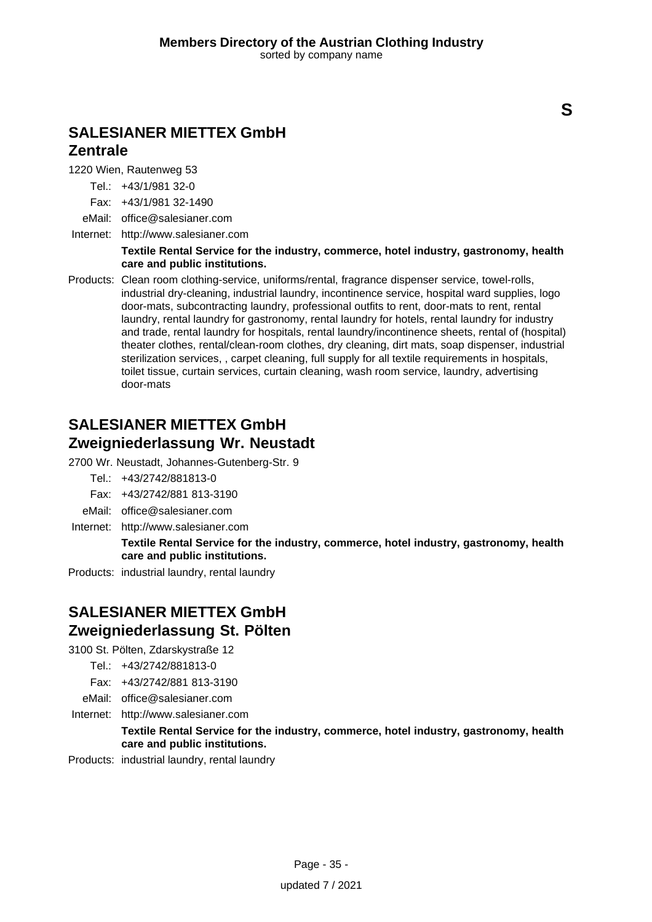### **SALESIANER MIETTEX GmbH Zentrale**

1220 Wien, Rautenweg 53

Tel.: +43/1/981 32-0

Fax: +43/1/981 32-1490

eMail: office@salesianer.com

Internet: <http://www.salesianer.com>

#### **Textile Rental Service for the industry, commerce, hotel industry, gastronomy, health care and public institutions.**

Products: Clean room clothing-service, uniforms/rental, fragrance dispenser service, towel-rolls, industrial dry-cleaning, industrial laundry, incontinence service, hospital ward supplies, logo door-mats, subcontracting laundry, professional outfits to rent, door-mats to rent, rental laundry, rental laundry for gastronomy, rental laundry for hotels, rental laundry for industry and trade, rental laundry for hospitals, rental laundry/incontinence sheets, rental of (hospital) theater clothes, rental/clean-room clothes, dry cleaning, dirt mats, soap dispenser, industrial sterilization services, , carpet cleaning, full supply for all textile requirements in hospitals, toilet tissue, curtain services, curtain cleaning, wash room service, laundry, advertising door-mats

### **SALESIANER MIETTEX GmbH Zweigniederlassung Wr. Neustadt**

2700 Wr. Neustadt, Johannes-Gutenberg-Str. 9

- Tel.: +43/2742/881813-0
- Fax: +43/2742/881 813-3190
- eMail: office@salesianer.com
- Internet: <http://www.salesianer.com>

**Textile Rental Service for the industry, commerce, hotel industry, gastronomy, health care and public institutions.**

Products: industrial laundry, rental laundry

### **SALESIANER MIETTEX GmbH Zweigniederlassung St. Pölten**

- 3100 St. Pölten, Zdarskystraße 12
	- Tel.: +43/2742/881813-0

Fax: +43/2742/881 813-3190

- eMail: office@salesianer.com
- Internet: <http://www.salesianer.com>

### **Textile Rental Service for the industry, commerce, hotel industry, gastronomy, health care and public institutions.**

Products: industrial laundry, rental laundry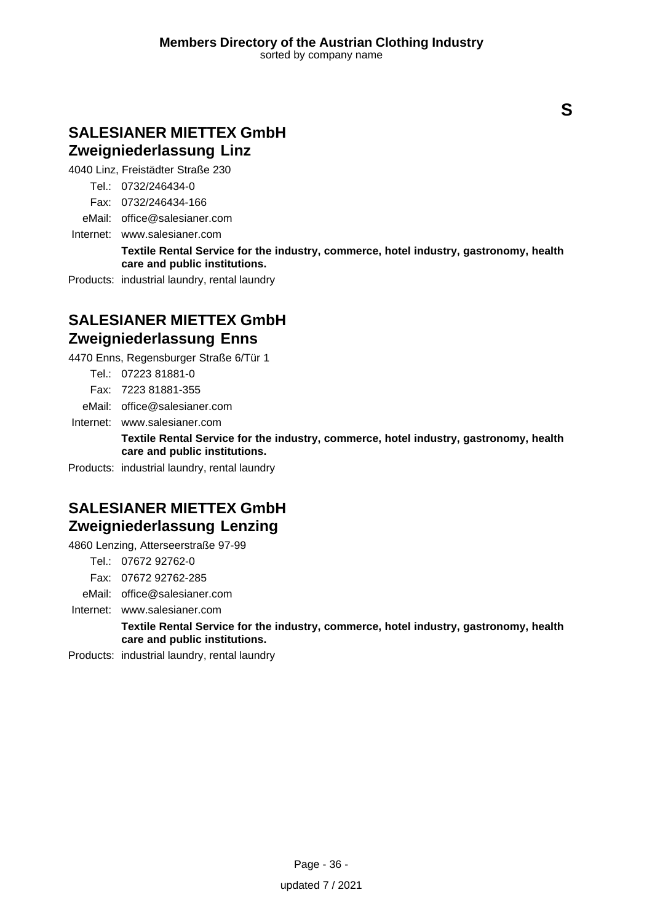### **SALESIANER MIETTEX GmbH Zweigniederlassung Linz**

4040 Linz, Freistädter Straße 230

Tel.: 0732/246434-0

Fax: 0732/246434-166

eMail: office@salesianer.com

Internet: www.salesianer.com

**Textile Rental Service for the industry, commerce, hotel industry, gastronomy, health care and public institutions.**

Products: industrial laundry, rental laundry

# **SALESIANER MIETTEX GmbH Zweigniederlassung Enns**

4470 Enns, Regensburger Straße 6/Tür 1

Tel.: 07223 81881-0

Fax: 7223 81881-355

eMail: office@salesianer.com

Internet: www.salesianer.com

**Textile Rental Service for the industry, commerce, hotel industry, gastronomy, health care and public institutions.**

Products: industrial laundry, rental laundry

# **SALESIANER MIETTEX GmbH Zweigniederlassung Lenzing**

4860 Lenzing, Atterseerstraße 97-99

Tel.: 07672 92762-0

Fax: 07672 92762-285

eMail: office@salesianer.com

Internet: www.salesianer.com

**Textile Rental Service for the industry, commerce, hotel industry, gastronomy, health care and public institutions.**

Products: industrial laundry, rental laundry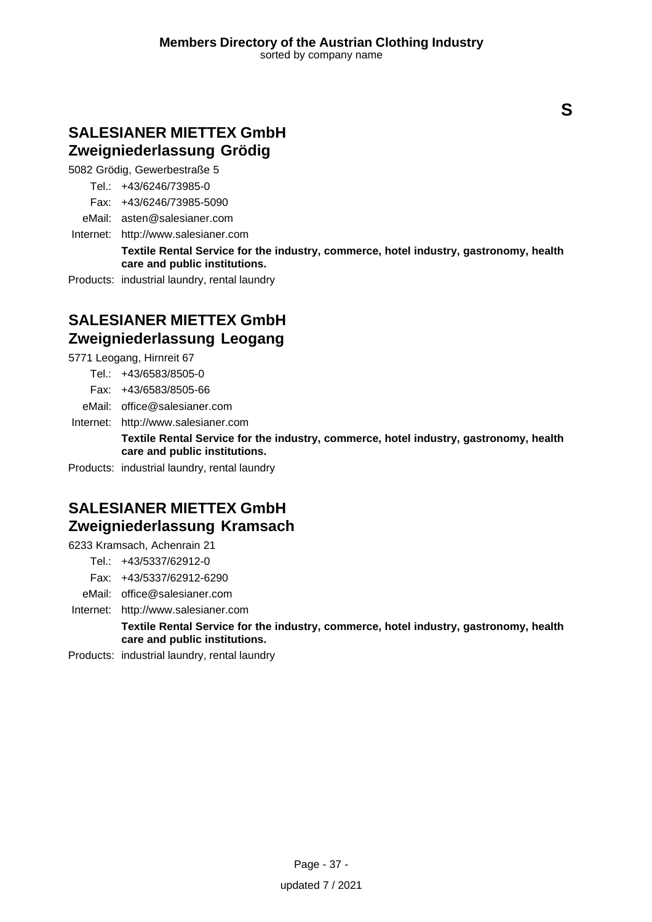### **SALESIANER MIETTEX GmbH Zweigniederlassung Grödig**

5082 Grödig, Gewerbestraße 5

Tel.: +43/6246/73985-0

Fax: +43/6246/73985-5090

eMail: asten@salesianer.com

Internet: <http://www.salesianer.com>

**Textile Rental Service for the industry, commerce, hotel industry, gastronomy, health care and public institutions.**

Products: industrial laundry, rental laundry

# **SALESIANER MIETTEX GmbH Zweigniederlassung Leogang**

5771 Leogang, Hirnreit 67

Tel.: +43/6583/8505-0

Fax: +43/6583/8505-66

eMail: office@salesianer.com

Internet: <http://www.salesianer.com>

**Textile Rental Service for the industry, commerce, hotel industry, gastronomy, health care and public institutions.**

Products: industrial laundry, rental laundry

# **SALESIANER MIETTEX GmbH Zweigniederlassung Kramsach**

6233 Kramsach, Achenrain 21

Tel.: +43/5337/62912-0

Fax: +43/5337/62912-6290

eMail: office@salesianer.com

Internet: <http://www.salesianer.com>

**Textile Rental Service for the industry, commerce, hotel industry, gastronomy, health care and public institutions.**

Products: industrial laundry, rental laundry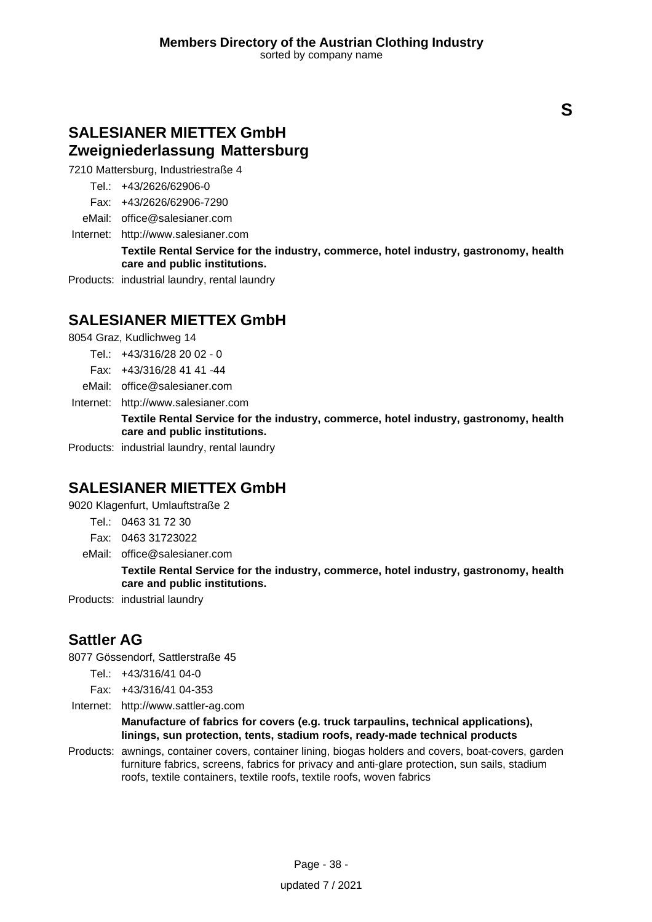### **SALESIANER MIETTEX GmbH Zweigniederlassung Mattersburg**

7210 Mattersburg, Industriestraße 4

Tel.: +43/2626/62906-0

Fax: +43/2626/62906-7290

eMail: office@salesianer.com

Internet: <http://www.salesianer.com>

**Textile Rental Service for the industry, commerce, hotel industry, gastronomy, health care and public institutions.**

Products: industrial laundry, rental laundry

# **SALESIANER MIETTEX GmbH**

8054 Graz, Kudlichweg 14

- Tel.: +43/316/28 20 02 0
- Fax: +43/316/28 41 41 -44
- eMail: office@salesianer.com
- Internet: <http://www.salesianer.com>

**Textile Rental Service for the industry, commerce, hotel industry, gastronomy, health care and public institutions.**

Products: industrial laundry, rental laundry

# **SALESIANER MIETTEX GmbH**

9020 Klagenfurt, Umlauftstraße 2

- Tel.: 0463 31 72 30
- Fax: 0463 31723022
- eMail: office@salesianer.com

**Textile Rental Service for the industry, commerce, hotel industry, gastronomy, health care and public institutions.**

Products: industrial laundry

# **Sattler AG**

8077 Gössendorf, Sattlerstraße 45

- Tel.: +43/316/41 04-0
- Fax: +43/316/41 04-353
- Internet: <http://www.sattler-ag.com>

### **Manufacture of fabrics for covers (e.g. truck tarpaulins, technical applications), linings, sun protection, tents, stadium roofs, ready-made technical products**

Products: awnings, container covers, container lining, biogas holders and covers, boat-covers, garden furniture fabrics, screens, fabrics for privacy and anti-glare protection, sun sails, stadium roofs, textile containers, textile roofs, textile roofs, woven fabrics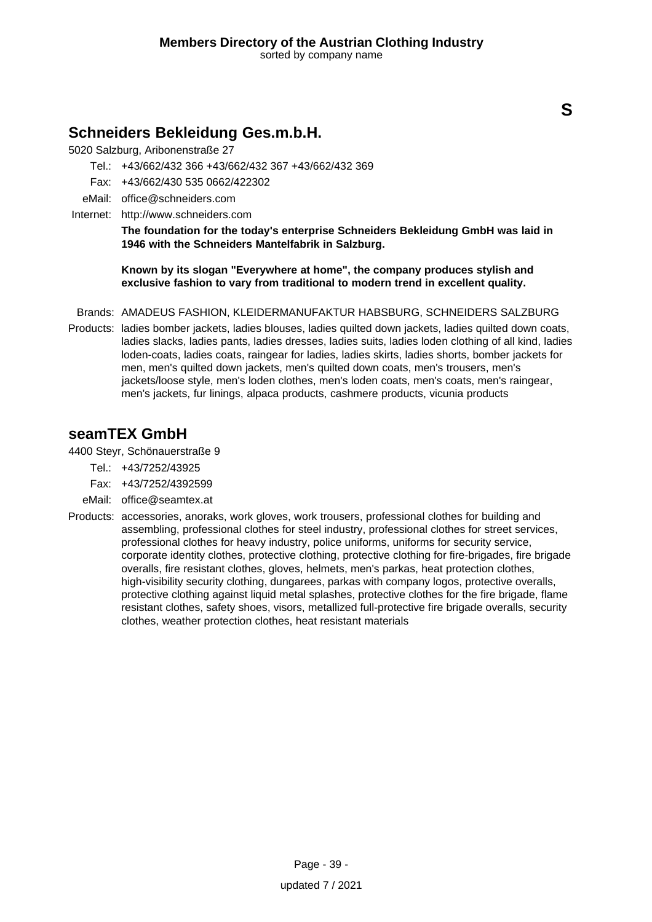### **Schneiders Bekleidung Ges.m.b.H.**

5020 Salzburg, Aribonenstraße 27

- Tel.: +43/662/432 366 +43/662/432 367 +43/662/432 369
- Fax: +43/662/430 535 0662/422302
- eMail: office@schneiders.com
- Internet: <http://www.schneiders.com>

**The foundation for the today's enterprise Schneiders Bekleidung GmbH was laid in 1946 with the Schneiders Mantelfabrik in Salzburg.**

**Known by its slogan "Everywhere at home", the company produces stylish and exclusive fashion to vary from traditional to modern trend in excellent quality.**

- Brands: AMADEUS FASHION, KLEIDERMANUFAKTUR HABSBURG, SCHNEIDERS SALZBURG
- Products: ladies bomber jackets, ladies blouses, ladies quilted down jackets, ladies quilted down coats, ladies slacks, ladies pants, ladies dresses, ladies suits, ladies loden clothing of all kind, ladies loden-coats, ladies coats, raingear for ladies, ladies skirts, ladies shorts, bomber jackets for men, men's quilted down jackets, men's quilted down coats, men's trousers, men's jackets/loose style, men's loden clothes, men's loden coats, men's coats, men's raingear, men's jackets, fur linings, alpaca products, cashmere products, vicunia products

### **seamTEX GmbH**

4400 Steyr, Schönauerstraße 9

- Tel.: +43/7252/43925
- Fax: +43/7252/4392599
- eMail: office@seamtex.at
- Products: accessories, anoraks, work gloves, work trousers, professional clothes for building and assembling, professional clothes for steel industry, professional clothes for street services, professional clothes for heavy industry, police uniforms, uniforms for security service, corporate identity clothes, protective clothing, protective clothing for fire-brigades, fire brigade overalls, fire resistant clothes, gloves, helmets, men's parkas, heat protection clothes, high-visibility security clothing, dungarees, parkas with company logos, protective overalls, protective clothing against liquid metal splashes, protective clothes for the fire brigade, flame resistant clothes, safety shoes, visors, metallized full-protective fire brigade overalls, security clothes, weather protection clothes, heat resistant materials

**S**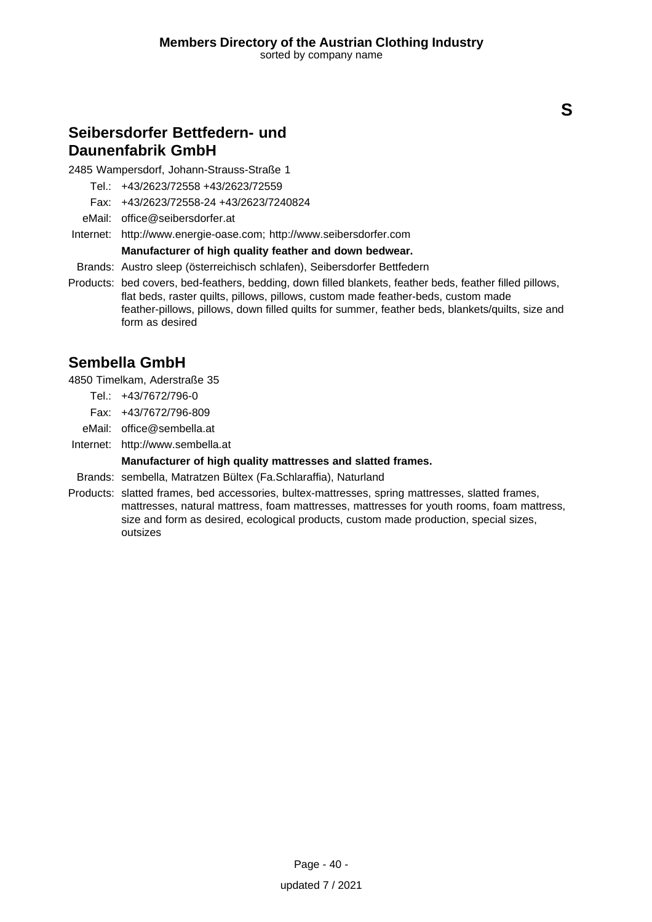### **Seibersdorfer Bettfedern- und Daunenfabrik GmbH**

2485 Wampersdorf, Johann-Strauss-Straße 1

Tel.: +43/2623/72558 +43/2623/72559

Fax: +43/2623/72558-24 +43/2623/7240824

eMail: office@seibersdorfer.at

Internet: <http://www.energie-oase.com; http://www.seibersdorfer.com>

### **Manufacturer of high quality feather and down bedwear.**

Brands: Austro sleep (österreichisch schlafen), Seibersdorfer Bettfedern

Products: bed covers, bed-feathers, bedding, down filled blankets, feather beds, feather filled pillows, flat beds, raster quilts, pillows, pillows, custom made feather-beds, custom made feather-pillows, pillows, down filled quilts for summer, feather beds, blankets/quilts, size and form as desired

# **Sembella GmbH**

4850 Timelkam, Aderstraße 35

- Tel.: +43/7672/796-0
- Fax: +43/7672/796-809
- eMail: office@sembella.at
- Internet: <http://www.sembella.at>

### **Manufacturer of high quality mattresses and slatted frames.**

- Brands: sembella, Matratzen Bültex (Fa.Schlaraffia), Naturland
- Products: slatted frames, bed accessories, bultex-mattresses, spring mattresses, slatted frames, mattresses, natural mattress, foam mattresses, mattresses for youth rooms, foam mattress, size and form as desired, ecological products, custom made production, special sizes, outsizes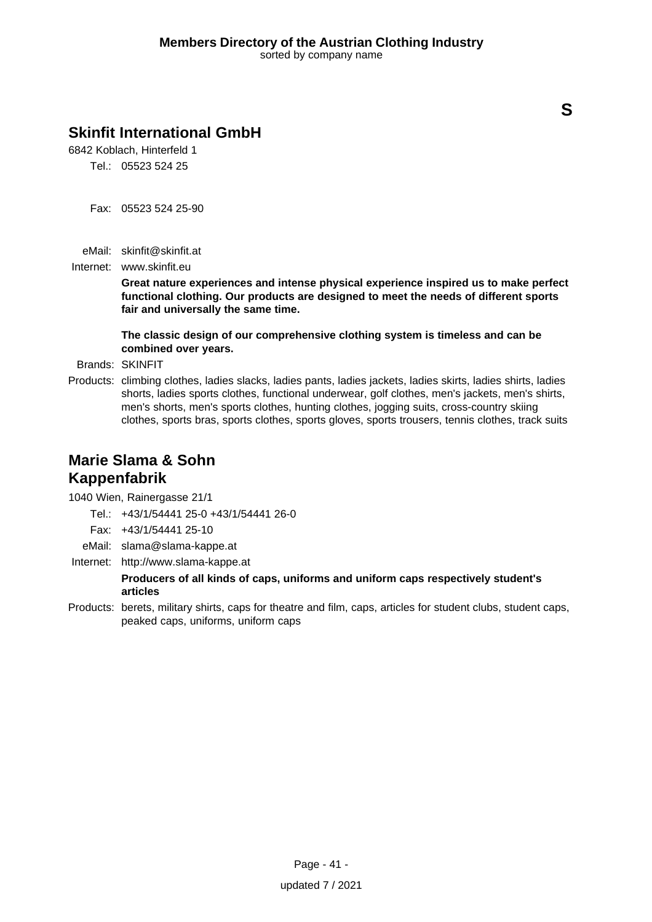# **Skinfit International GmbH**

6842 Koblach, Hinterfeld 1 Tel.: 05523 524 25

- 
- Fax: 05523 524 25-90
- eMail: skinfit@skinfit.at
- Internet: www.skinfit.eu

**Great nature experiences and intense physical experience inspired us to make perfect functional clothing. Our products are designed to meet the needs of different sports fair and universally the same time.**

**The classic design of our comprehensive clothing system is timeless and can be combined over years.**

Brands: SKINFIT

Products: climbing clothes, ladies slacks, ladies pants, ladies jackets, ladies skirts, ladies shirts, ladies shorts, ladies sports clothes, functional underwear, golf clothes, men's jackets, men's shirts, men's shorts, men's sports clothes, hunting clothes, jogging suits, cross-country skiing clothes, sports bras, sports clothes, sports gloves, sports trousers, tennis clothes, track suits

# **Marie Slama & Sohn Kappenfabrik**

1040 Wien, Rainergasse 21/1

- Tel.: +43/1/54441 25-0 +43/1/54441 26-0
- Fax: +43/1/54441 25-10
- eMail: slama@slama-kappe.at
- Internet: <http://www.slama-kappe.at>

### **Producers of all kinds of caps, uniforms and uniform caps respectively student's articles**

Products: berets, military shirts, caps for theatre and film, caps, articles for student clubs, student caps, peaked caps, uniforms, uniform caps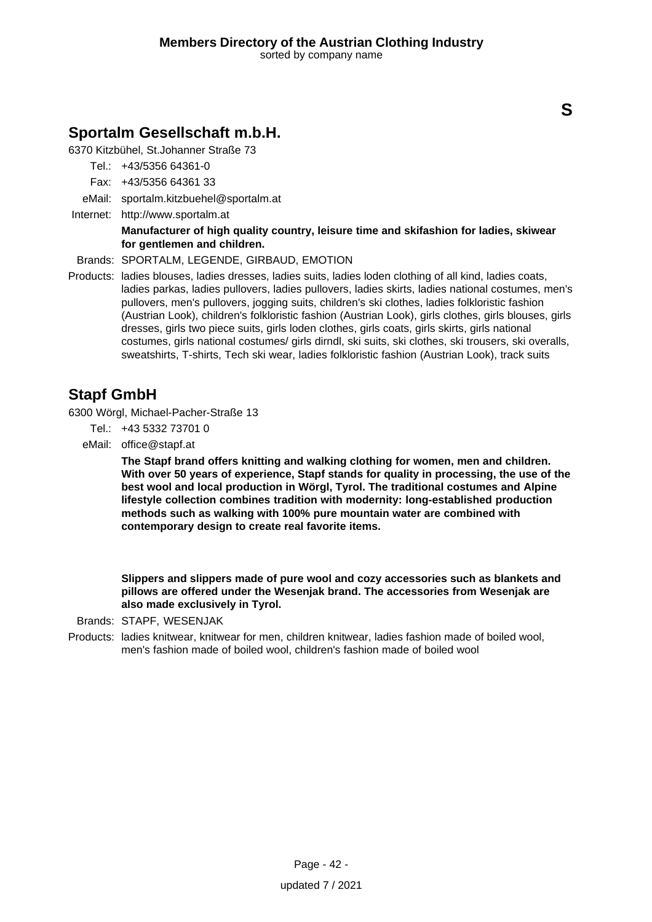### **Sportalm Gesellschaft m.b.H.**

6370 Kitzbühel, St.Johanner Straße 73

- Tel.: +43/5356 64361-0
- Fax: +43/5356 64361 33

eMail: sportalm.kitzbuehel@sportalm.at

Internet: <http://www.sportalm.at>

### **Manufacturer of high quality country, leisure time and skifashion for ladies, skiwear for gentlemen and children.**

Brands: SPORTALM, LEGENDE, GIRBAUD, EMOTION

Products: ladies blouses, ladies dresses, ladies suits, ladies loden clothing of all kind, ladies coats, ladies parkas, ladies pullovers, ladies pullovers, ladies skirts, ladies national costumes, men's pullovers, men's pullovers, jogging suits, children's ski clothes, ladies folkloristic fashion (Austrian Look), children's folkloristic fashion (Austrian Look), girls clothes, girls blouses, girls dresses, girls two piece suits, girls loden clothes, girls coats, girls skirts, girls national costumes, girls national costumes/ girls dirndl, ski suits, ski clothes, ski trousers, ski overalls, sweatshirts, T-shirts, Tech ski wear, ladies folkloristic fashion (Austrian Look), track suits

### **Stapf GmbH**

6300 Wörgl, Michael-Pacher-Straße 13

- Tel.: +43 5332 73701 0
- eMail: office@stapf.at

**The Stapf brand offers knitting and walking clothing for women, men and children. With over 50 years of experience, Stapf stands for quality in processing, the use of the best wool and local production in Wörgl, Tyrol. The traditional costumes and Alpine lifestyle collection combines tradition with modernity: long-established production methods such as walking with 100% pure mountain water are combined with contemporary design to create real favorite items.**

**Slippers and slippers made of pure wool and cozy accessories such as blankets and pillows are offered under the Wesenjak brand. The accessories from Wesenjak are also made exclusively in Tyrol.**

Brands: STAPF, WESENJAK

Products: ladies knitwear, knitwear for men, children knitwear, ladies fashion made of boiled wool, men's fashion made of boiled wool, children's fashion made of boiled wool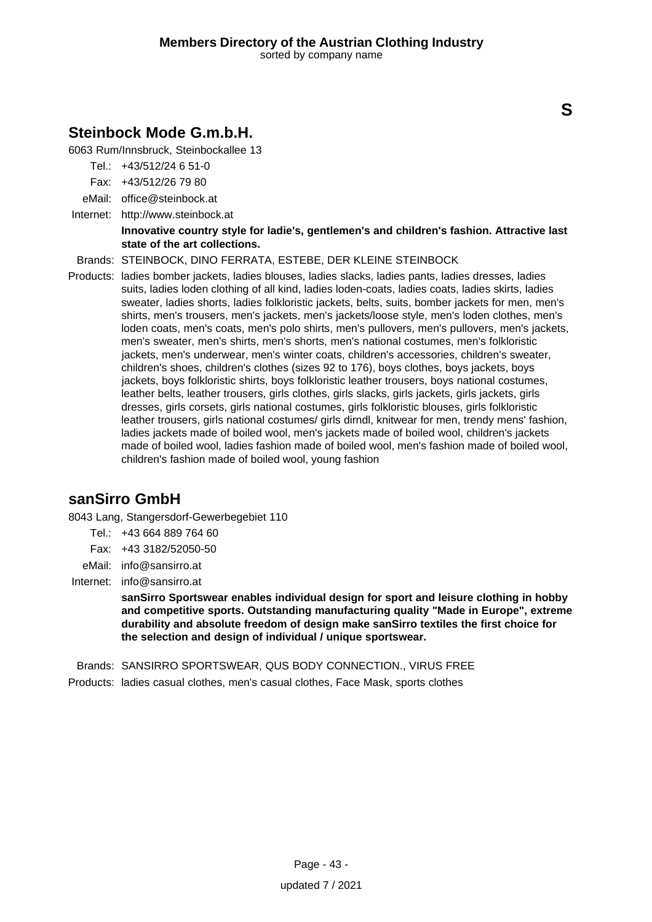# **Steinbock Mode G.m.b.H.**

6063 Rum/Innsbruck, Steinbockallee 13

- Tel.: +43/512/24 6 51-0
- Fax: +43/512/26 79 80
- eMail: office@steinbock.at
- Internet: <http://www.steinbock.at>

### **Innovative country style for ladie's, gentlemen's and children's fashion. Attractive last state of the art collections.**

Brands: STEINBOCK, DINO FERRATA, ESTEBE, DER KLEINE STEINBOCK

Products: ladies bomber jackets, ladies blouses, ladies slacks, ladies pants, ladies dresses, ladies suits, ladies loden clothing of all kind, ladies loden-coats, ladies coats, ladies skirts, ladies sweater, ladies shorts, ladies folkloristic jackets, belts, suits, bomber jackets for men, men's shirts, men's trousers, men's jackets, men's jackets/loose style, men's loden clothes, men's loden coats, men's coats, men's polo shirts, men's pullovers, men's pullovers, men's jackets, men's sweater, men's shirts, men's shorts, men's national costumes, men's folkloristic jackets, men's underwear, men's winter coats, children's accessories, children's sweater, children's shoes, children's clothes (sizes 92 to 176), boys clothes, boys jackets, boys jackets, boys folkloristic shirts, boys folkloristic leather trousers, boys national costumes, leather belts, leather trousers, girls clothes, girls slacks, girls jackets, girls jackets, girls dresses, girls corsets, girls national costumes, girls folkloristic blouses, girls folkloristic leather trousers, girls national costumes/ girls dirndl, knitwear for men, trendy mens' fashion, ladies jackets made of boiled wool, men's jackets made of boiled wool, children's jackets made of boiled wool, ladies fashion made of boiled wool, men's fashion made of boiled wool, children's fashion made of boiled wool, young fashion

### **sanSirro GmbH**

8043 Lang, Stangersdorf-Gewerbegebiet 110

- Tel.: +43 664 889 764 60
- Fax: +43 3182/52050-50
- eMail: info@sansirro.at
- Internet: info@sansirro.at

**sanSirro Sportswear enables individual design for sport and leisure clothing in hobby and competitive sports. Outstanding manufacturing quality "Made in Europe", extreme durability and absolute freedom of design make sanSirro textiles the first choice for the selection and design of individual / unique sportswear.**

Brands: SANSIRRO SPORTSWEAR, QUS BODY CONNECTION., VIRUS FREE

Products: ladies casual clothes, men's casual clothes, Face Mask, sports clothes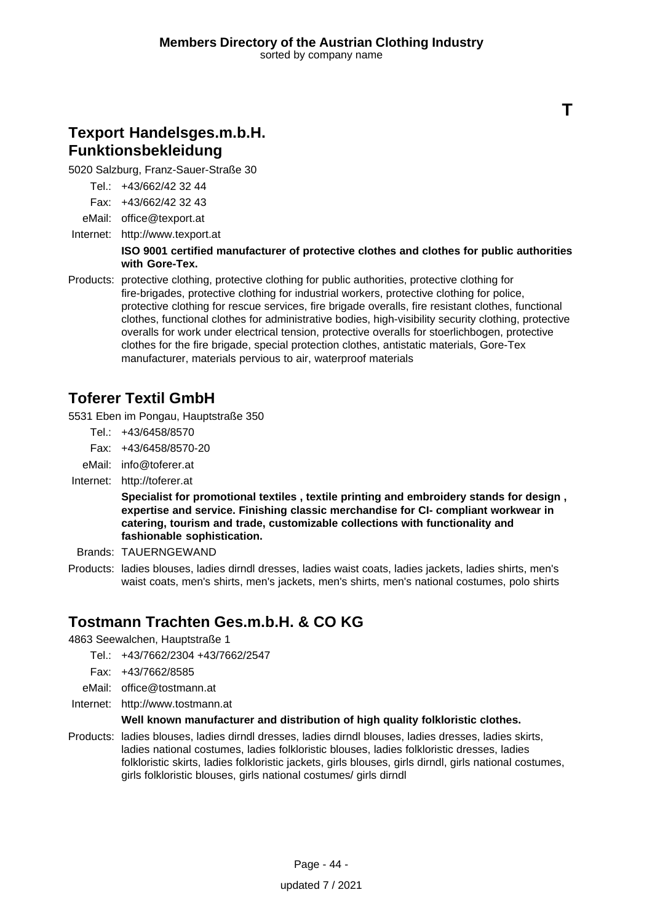# **Texport Handelsges.m.b.H. Funktionsbekleidung**

5020 Salzburg, Franz-Sauer-Straße 30

Tel.: +43/662/42 32 44

Fax: +43/662/42 32 43

eMail: office@texport.at

Internet: <http://www.texport.at>

### **ISO 9001 certified manufacturer of protective clothes and clothes for public authorities with Gore-Tex.**

**T**

Products: protective clothing, protective clothing for public authorities, protective clothing for fire-brigades, protective clothing for industrial workers, protective clothing for police, protective clothing for rescue services, fire brigade overalls, fire resistant clothes, functional clothes, functional clothes for administrative bodies, high-visibility security clothing, protective overalls for work under electrical tension, protective overalls for stoerlichbogen, protective clothes for the fire brigade, special protection clothes, antistatic materials, Gore-Tex manufacturer, materials pervious to air, waterproof materials

# **Toferer Textil GmbH**

5531 Eben im Pongau, Hauptstraße 350

- Tel.: +43/6458/8570
- Fax: +43/6458/8570-20
- eMail: info@toferer.at
- Internet: <http://toferer.at>

**Specialist for promotional textiles , textile printing and embroidery stands for design , expertise and service. Finishing classic merchandise for CI- compliant workwear in catering, tourism and trade, customizable collections with functionality and fashionable sophistication.**

- Brands: TAUERNGEWAND
- Products: ladies blouses, ladies dirndl dresses, ladies waist coats, ladies jackets, ladies shirts, men's waist coats, men's shirts, men's jackets, men's shirts, men's national costumes, polo shirts

# **Tostmann Trachten Ges.m.b.H. & CO KG**

4863 Seewalchen, Hauptstraße 1

- Tel.: +43/7662/2304 +43/7662/2547
- Fax: +43/7662/8585
- eMail: office@tostmann.at
- Internet: <http://www.tostmann.at>

### **Well known manufacturer and distribution of high quality folkloristic clothes.**

Products: ladies blouses, ladies dirndl dresses, ladies dirndl blouses, ladies dresses, ladies skirts, ladies national costumes, ladies folkloristic blouses, ladies folkloristic dresses, ladies folkloristic skirts, ladies folkloristic jackets, girls blouses, girls dirndl, girls national costumes, girls folkloristic blouses, girls national costumes/ girls dirndl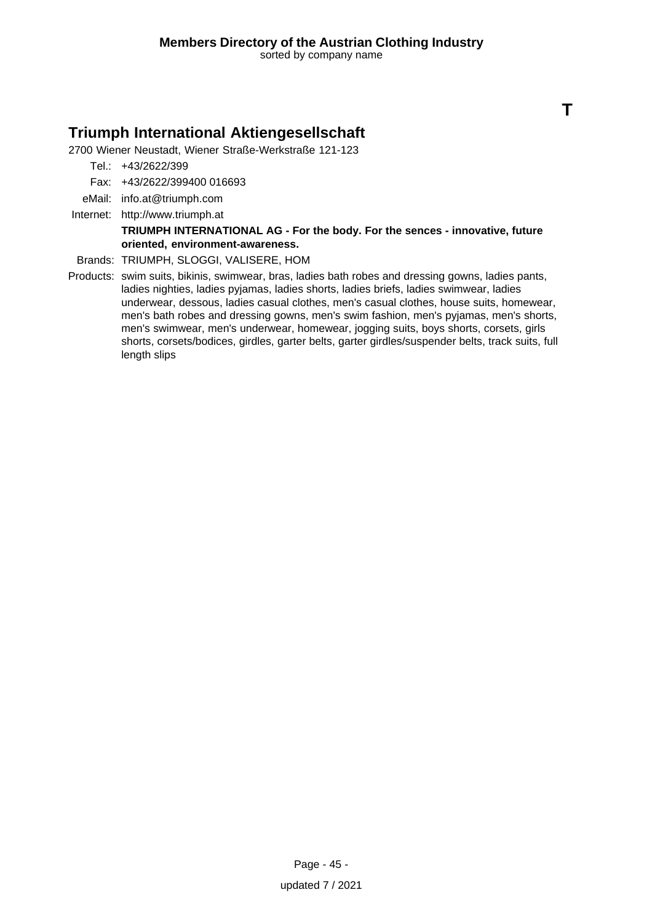**T**

### **Triumph International Aktiengesellschaft**

2700 Wiener Neustadt, Wiener Straße-Werkstraße 121-123

- Tel.: +43/2622/399
- Fax: +43/2622/399400 016693
- eMail: info.at@triumph.com
- Internet: <http://www.triumph.at>

#### **TRIUMPH INTERNATIONAL AG - For the body. For the sences - innovative, future oriented, environment-awareness.**

- Brands: TRIUMPH, SLOGGI, VALISERE, HOM
- Products: swim suits, bikinis, swimwear, bras, ladies bath robes and dressing gowns, ladies pants, ladies nighties, ladies pyjamas, ladies shorts, ladies briefs, ladies swimwear, ladies underwear, dessous, ladies casual clothes, men's casual clothes, house suits, homewear, men's bath robes and dressing gowns, men's swim fashion, men's pyjamas, men's shorts, men's swimwear, men's underwear, homewear, jogging suits, boys shorts, corsets, girls shorts, corsets/bodices, girdles, garter belts, garter girdles/suspender belts, track suits, full length slips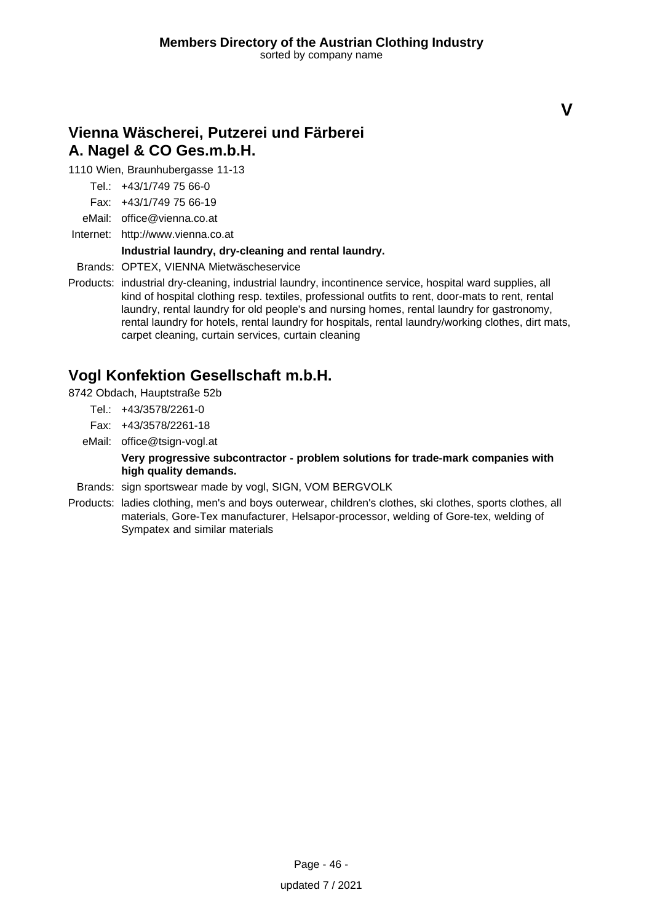# **Vienna Wäscherei, Putzerei und Färberei A. Nagel & CO Ges.m.b.H.**

1110 Wien, Braunhubergasse 11-13

- Tel.: +43/1/749 75 66-0
- Fax: +43/1/749 75 66-19
- eMail: office@vienna.co.at
- Internet: <http://www.vienna.co.at>

### **Industrial laundry, dry-cleaning and rental laundry.**

Brands: OPTEX, VIENNA Mietwäscheservice

Products: industrial dry-cleaning, industrial laundry, incontinence service, hospital ward supplies, all kind of hospital clothing resp. textiles, professional outfits to rent, door-mats to rent, rental laundry, rental laundry for old people's and nursing homes, rental laundry for gastronomy, rental laundry for hotels, rental laundry for hospitals, rental laundry/working clothes, dirt mats, carpet cleaning, curtain services, curtain cleaning

### **Vogl Konfektion Gesellschaft m.b.H.**

8742 Obdach, Hauptstraße 52b

- Tel.: +43/3578/2261-0
- Fax: +43/3578/2261-18
- eMail: office@tsign-vogl.at

**Very progressive subcontractor - problem solutions for trade-mark companies with high quality demands.**

- Brands: sign sportswear made by vogl, SIGN, VOM BERGVOLK
- Products: ladies clothing, men's and boys outerwear, children's clothes, ski clothes, sports clothes, all materials, Gore-Tex manufacturer, Helsapor-processor, welding of Gore-tex, welding of Sympatex and similar materials

**V**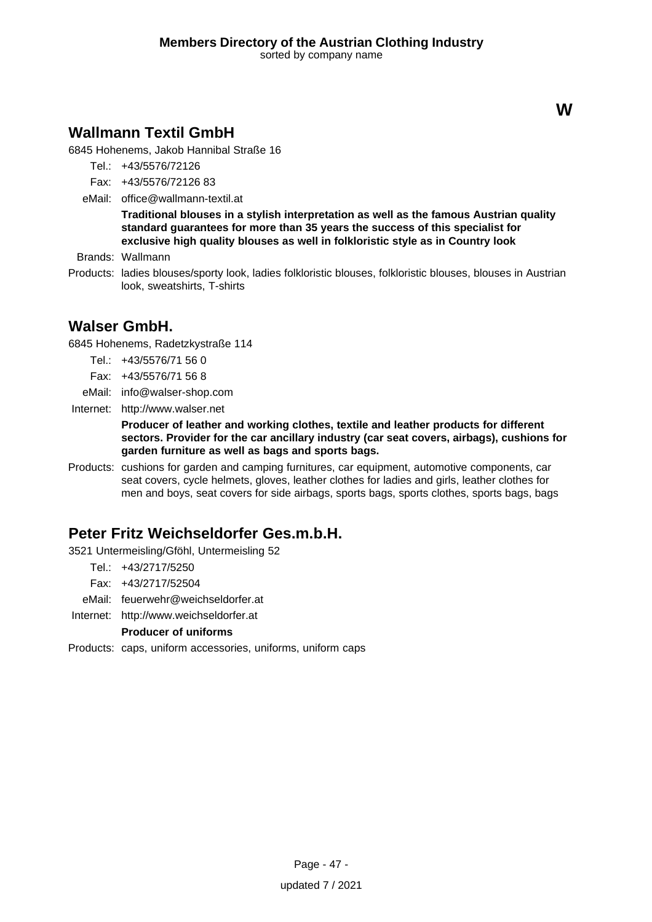# **Wallmann Textil GmbH**

6845 Hohenems, Jakob Hannibal Straße 16

- Tel.: +43/5576/72126
- Fax: +43/5576/72126 83
- eMail: office@wallmann-textil.at

**Traditional blouses in a stylish interpretation as well as the famous Austrian quality standard guarantees for more than 35 years the success of this specialist for exclusive high quality blouses as well in folkloristic style as in Country look**

Brands: Wallmann

Products: ladies blouses/sporty look, ladies folkloristic blouses, folkloristic blouses, blouses in Austrian look, sweatshirts, T-shirts

### **Walser GmbH.**

6845 Hohenems, Radetzkystraße 114

- Tel.: +43/5576/71 56 0
- Fax: +43/5576/71 56 8
- eMail: info@walser-shop.com
- Internet: <http://www.walser.net>

**Producer of leather and working clothes, textile and leather products for different sectors. Provider for the car ancillary industry (car seat covers, airbags), cushions for garden furniture as well as bags and sports bags.**

Products: cushions for garden and camping furnitures, car equipment, automotive components, car seat covers, cycle helmets, gloves, leather clothes for ladies and girls, leather clothes for men and boys, seat covers for side airbags, sports bags, sports clothes, sports bags, bags

# **Peter Fritz Weichseldorfer Ges.m.b.H.**

- 3521 Untermeisling/Gföhl, Untermeisling 52
	- Tel.: +43/2717/5250
	- Fax: +43/2717/52504
	- eMail: feuerwehr@weichseldorfer.at
- Internet: <http://www.weichseldorfer.at>

**Producer of uniforms**

Products: caps, uniform accessories, uniforms, uniform caps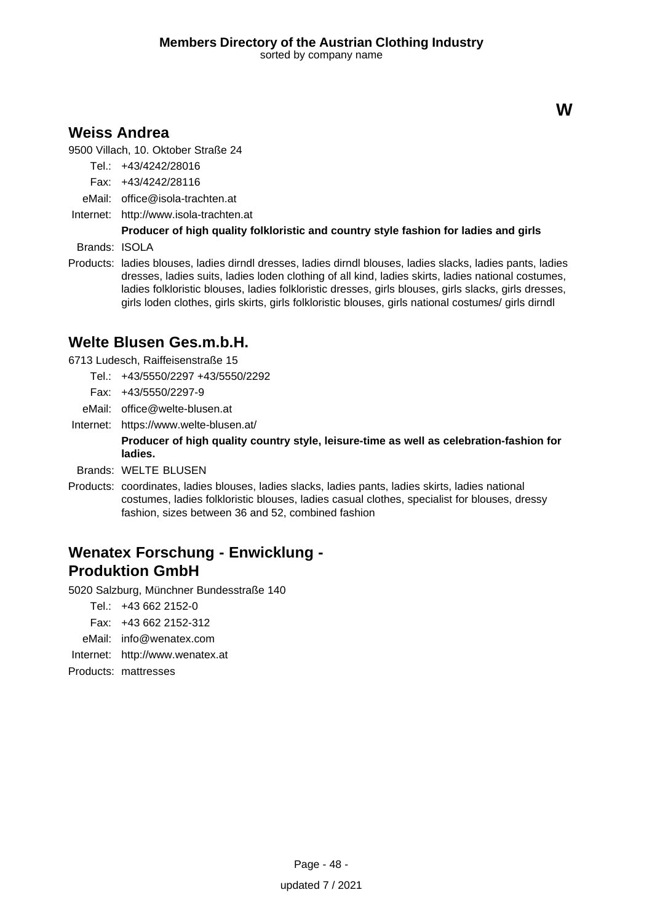### **Weiss Andrea**

9500 Villach, 10. Oktober Straße 24

Tel.: +43/4242/28016

- Fax: +43/4242/28116
- eMail: office@isola-trachten.at
- Internet: <http://www.isola-trachten.at>

### **Producer of high quality folkloristic and country style fashion for ladies and girls**

Brands: ISOLA

Products: ladies blouses, ladies dirndl dresses, ladies dirndl blouses, ladies slacks, ladies pants, ladies dresses, ladies suits, ladies loden clothing of all kind, ladies skirts, ladies national costumes, ladies folkloristic blouses, ladies folkloristic dresses, girls blouses, girls slacks, girls dresses, girls loden clothes, girls skirts, girls folkloristic blouses, girls national costumes/ girls dirndl

### **Welte Blusen Ges.m.b.H.**

6713 Ludesch, Raiffeisenstraße 15

- Tel.: +43/5550/2297 +43/5550/2292
- Fax: +43/5550/2297-9
- eMail: office@welte-blusen.at
- Internet: https://www.welte-blusen.at/

**Producer of high quality country style, leisure-time as well as celebration-fashion for ladies.**

- Brands: WELTE BLUSEN
- Products: coordinates, ladies blouses, ladies slacks, ladies pants, ladies skirts, ladies national costumes, ladies folkloristic blouses, ladies casual clothes, specialist for blouses, dressy fashion, sizes between 36 and 52, combined fashion

# **Wenatex Forschung - Enwicklung - Produktion GmbH**

5020 Salzburg, Münchner Bundesstraße 140

Tel.: +43 662 2152-0

- Fax: +43 662 2152-312
- eMail: info@wenatex.com
- Internet: <http://www.wenatex.at>

Products: mattresses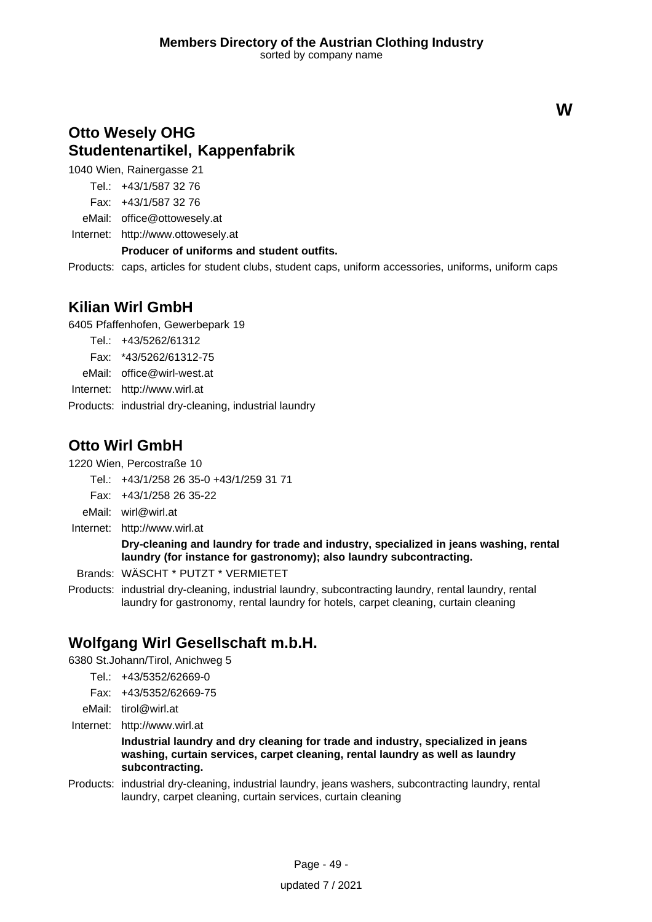# **Otto Wesely OHG Studentenartikel, Kappenfabrik**

1040 Wien, Rainergasse 21

Tel.: +43/1/587 32 76

Fax: +43/1/587 32 76

eMail: office@ottowesely.at

Internet: <http://www.ottowesely.at>

### **Producer of uniforms and student outfits.**

Products: caps, articles for student clubs, student caps, uniform accessories, uniforms, uniform caps

### **Kilian Wirl GmbH**

6405 Pfaffenhofen, Gewerbepark 19

- Tel.: +43/5262/61312
- Fax: \*43/5262/61312-75
- eMail: office@wirl-west.at
- Internet: <http://www.wirl.at>
- Products: industrial dry-cleaning, industrial laundry

### **Otto Wirl GmbH**

1220 Wien, Percostraße 10

- Tel.: +43/1/258 26 35-0 +43/1/259 31 71
- Fax: +43/1/258 26 35-22
- eMail: wirl@wirl.at
- Internet: <http://www.wirl.at>

**Dry-cleaning and laundry for trade and industry, specialized in jeans washing, rental laundry (for instance for gastronomy); also laundry subcontracting.**

Brands: WÄSCHT \* PUTZT \* VERMIETET

Products: industrial dry-cleaning, industrial laundry, subcontracting laundry, rental laundry, rental laundry for gastronomy, rental laundry for hotels, carpet cleaning, curtain cleaning

# **Wolfgang Wirl Gesellschaft m.b.H.**

6380 St.Johann/Tirol, Anichweg 5

- Tel.: +43/5352/62669-0
- Fax: +43/5352/62669-75
- eMail: tirol@wirl.at
- Internet: <http://www.wirl.at>

**Industrial laundry and dry cleaning for trade and industry, specialized in jeans washing, curtain services, carpet cleaning, rental laundry as well as laundry subcontracting.**

Products: industrial dry-cleaning, industrial laundry, jeans washers, subcontracting laundry, rental laundry, carpet cleaning, curtain services, curtain cleaning